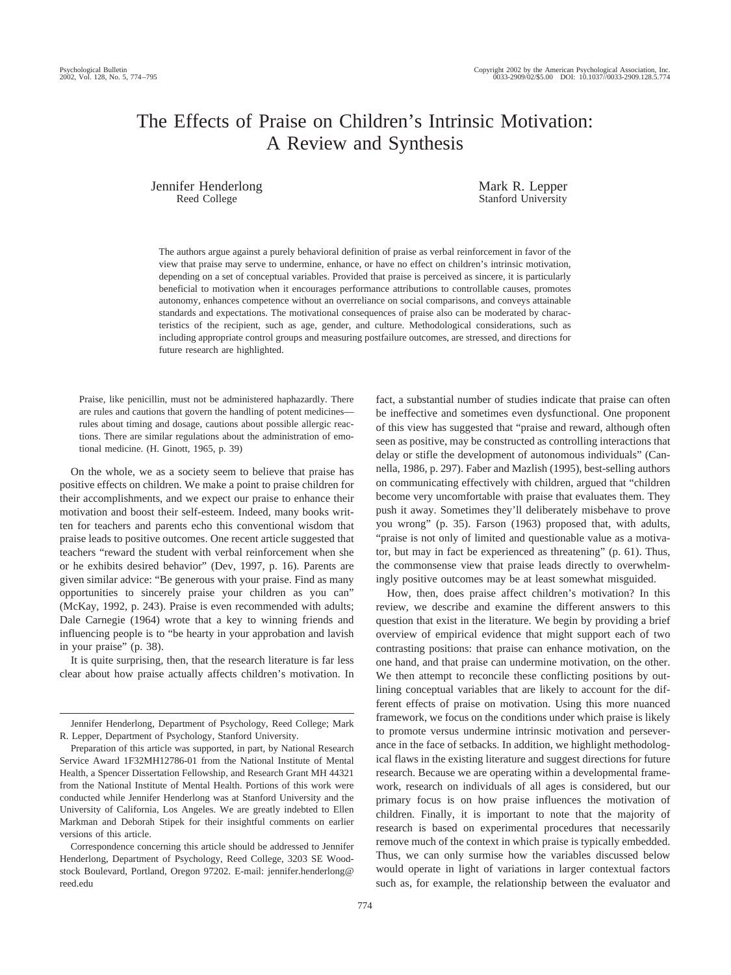# The Effects of Praise on Children's Intrinsic Motivation: A Review and Synthesis

Jennifer Henderlong Reed College

Mark R. Lepper Stanford University

The authors argue against a purely behavioral definition of praise as verbal reinforcement in favor of the view that praise may serve to undermine, enhance, or have no effect on children's intrinsic motivation, depending on a set of conceptual variables. Provided that praise is perceived as sincere, it is particularly beneficial to motivation when it encourages performance attributions to controllable causes, promotes autonomy, enhances competence without an overreliance on social comparisons, and conveys attainable standards and expectations. The motivational consequences of praise also can be moderated by characteristics of the recipient, such as age, gender, and culture. Methodological considerations, such as including appropriate control groups and measuring postfailure outcomes, are stressed, and directions for future research are highlighted.

Praise, like penicillin, must not be administered haphazardly. There are rules and cautions that govern the handling of potent medicines rules about timing and dosage, cautions about possible allergic reactions. There are similar regulations about the administration of emotional medicine. (H. Ginott, 1965, p. 39)

On the whole, we as a society seem to believe that praise has positive effects on children. We make a point to praise children for their accomplishments, and we expect our praise to enhance their motivation and boost their self-esteem. Indeed, many books written for teachers and parents echo this conventional wisdom that praise leads to positive outcomes. One recent article suggested that teachers "reward the student with verbal reinforcement when she or he exhibits desired behavior" (Dev, 1997, p. 16). Parents are given similar advice: "Be generous with your praise. Find as many opportunities to sincerely praise your children as you can" (McKay, 1992, p. 243). Praise is even recommended with adults; Dale Carnegie (1964) wrote that a key to winning friends and influencing people is to "be hearty in your approbation and lavish in your praise" (p. 38).

It is quite surprising, then, that the research literature is far less clear about how praise actually affects children's motivation. In fact, a substantial number of studies indicate that praise can often be ineffective and sometimes even dysfunctional. One proponent of this view has suggested that "praise and reward, although often seen as positive, may be constructed as controlling interactions that delay or stifle the development of autonomous individuals" (Cannella, 1986, p. 297). Faber and Mazlish (1995), best-selling authors on communicating effectively with children, argued that "children become very uncomfortable with praise that evaluates them. They push it away. Sometimes they'll deliberately misbehave to prove you wrong" (p. 35). Farson (1963) proposed that, with adults, "praise is not only of limited and questionable value as a motivator, but may in fact be experienced as threatening" (p. 61). Thus, the commonsense view that praise leads directly to overwhelmingly positive outcomes may be at least somewhat misguided.

How, then, does praise affect children's motivation? In this review, we describe and examine the different answers to this question that exist in the literature. We begin by providing a brief overview of empirical evidence that might support each of two contrasting positions: that praise can enhance motivation, on the one hand, and that praise can undermine motivation, on the other. We then attempt to reconcile these conflicting positions by outlining conceptual variables that are likely to account for the different effects of praise on motivation. Using this more nuanced framework, we focus on the conditions under which praise is likely to promote versus undermine intrinsic motivation and perseverance in the face of setbacks. In addition, we highlight methodological flaws in the existing literature and suggest directions for future research. Because we are operating within a developmental framework, research on individuals of all ages is considered, but our primary focus is on how praise influences the motivation of children. Finally, it is important to note that the majority of research is based on experimental procedures that necessarily remove much of the context in which praise is typically embedded. Thus, we can only surmise how the variables discussed below would operate in light of variations in larger contextual factors such as, for example, the relationship between the evaluator and

Jennifer Henderlong, Department of Psychology, Reed College; Mark R. Lepper, Department of Psychology, Stanford University.

Preparation of this article was supported, in part, by National Research Service Award 1F32MH12786-01 from the National Institute of Mental Health, a Spencer Dissertation Fellowship, and Research Grant MH 44321 from the National Institute of Mental Health. Portions of this work were conducted while Jennifer Henderlong was at Stanford University and the University of California, Los Angeles. We are greatly indebted to Ellen Markman and Deborah Stipek for their insightful comments on earlier versions of this article.

Correspondence concerning this article should be addressed to Jennifer Henderlong, Department of Psychology, Reed College, 3203 SE Woodstock Boulevard, Portland, Oregon 97202. E-mail: jennifer.henderlong@ reed.edu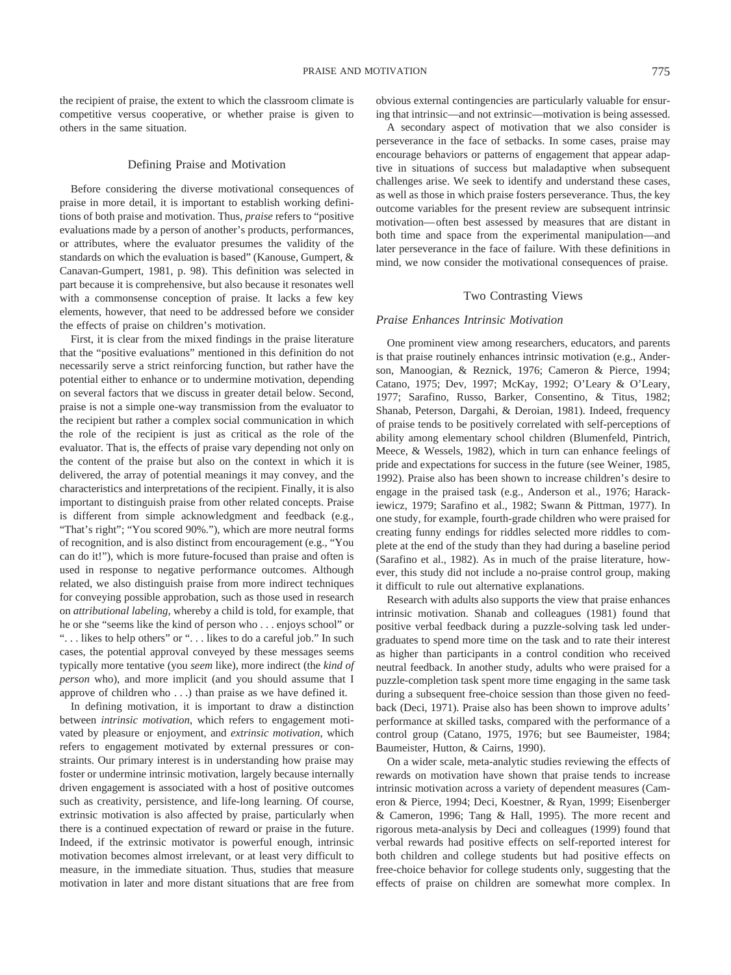the recipient of praise, the extent to which the classroom climate is competitive versus cooperative, or whether praise is given to others in the same situation.

#### Defining Praise and Motivation

Before considering the diverse motivational consequences of praise in more detail, it is important to establish working definitions of both praise and motivation. Thus, *praise* refers to "positive evaluations made by a person of another's products, performances, or attributes, where the evaluator presumes the validity of the standards on which the evaluation is based" (Kanouse, Gumpert, & Canavan-Gumpert, 1981, p. 98). This definition was selected in part because it is comprehensive, but also because it resonates well with a commonsense conception of praise. It lacks a few key elements, however, that need to be addressed before we consider the effects of praise on children's motivation.

First, it is clear from the mixed findings in the praise literature that the "positive evaluations" mentioned in this definition do not necessarily serve a strict reinforcing function, but rather have the potential either to enhance or to undermine motivation, depending on several factors that we discuss in greater detail below. Second, praise is not a simple one-way transmission from the evaluator to the recipient but rather a complex social communication in which the role of the recipient is just as critical as the role of the evaluator. That is, the effects of praise vary depending not only on the content of the praise but also on the context in which it is delivered, the array of potential meanings it may convey, and the characteristics and interpretations of the recipient. Finally, it is also important to distinguish praise from other related concepts. Praise is different from simple acknowledgment and feedback (e.g., "That's right"; "You scored 90%."), which are more neutral forms of recognition, and is also distinct from encouragement (e.g., "You can do it!"), which is more future-focused than praise and often is used in response to negative performance outcomes. Although related, we also distinguish praise from more indirect techniques for conveying possible approbation, such as those used in research on *attributional labeling*, whereby a child is told, for example, that he or she "seems like the kind of person who . . . enjoys school" or ". . . likes to help others" or ". . . likes to do a careful job." In such cases, the potential approval conveyed by these messages seems typically more tentative (you *seem* like), more indirect (the *kind of person* who), and more implicit (and you should assume that I approve of children who . . .) than praise as we have defined it.

In defining motivation, it is important to draw a distinction between *intrinsic motivation*, which refers to engagement motivated by pleasure or enjoyment, and *extrinsic motivation*, which refers to engagement motivated by external pressures or constraints. Our primary interest is in understanding how praise may foster or undermine intrinsic motivation, largely because internally driven engagement is associated with a host of positive outcomes such as creativity, persistence, and life-long learning. Of course, extrinsic motivation is also affected by praise, particularly when there is a continued expectation of reward or praise in the future. Indeed, if the extrinsic motivator is powerful enough, intrinsic motivation becomes almost irrelevant, or at least very difficult to measure, in the immediate situation. Thus, studies that measure motivation in later and more distant situations that are free from

obvious external contingencies are particularly valuable for ensuring that intrinsic—and not extrinsic—motivation is being assessed.

A secondary aspect of motivation that we also consider is perseverance in the face of setbacks. In some cases, praise may encourage behaviors or patterns of engagement that appear adaptive in situations of success but maladaptive when subsequent challenges arise. We seek to identify and understand these cases, as well as those in which praise fosters perseverance. Thus, the key outcome variables for the present review are subsequent intrinsic motivation—often best assessed by measures that are distant in both time and space from the experimental manipulation—and later perseverance in the face of failure. With these definitions in mind, we now consider the motivational consequences of praise.

# Two Contrasting Views

# *Praise Enhances Intrinsic Motivation*

One prominent view among researchers, educators, and parents is that praise routinely enhances intrinsic motivation (e.g., Anderson, Manoogian, & Reznick, 1976; Cameron & Pierce, 1994; Catano, 1975; Dev, 1997; McKay, 1992; O'Leary & O'Leary, 1977; Sarafino, Russo, Barker, Consentino, & Titus, 1982; Shanab, Peterson, Dargahi, & Deroian, 1981). Indeed, frequency of praise tends to be positively correlated with self-perceptions of ability among elementary school children (Blumenfeld, Pintrich, Meece, & Wessels, 1982), which in turn can enhance feelings of pride and expectations for success in the future (see Weiner, 1985, 1992). Praise also has been shown to increase children's desire to engage in the praised task (e.g., Anderson et al., 1976; Harackiewicz, 1979; Sarafino et al., 1982; Swann & Pittman, 1977). In one study, for example, fourth-grade children who were praised for creating funny endings for riddles selected more riddles to complete at the end of the study than they had during a baseline period (Sarafino et al., 1982). As in much of the praise literature, however, this study did not include a no-praise control group, making it difficult to rule out alternative explanations.

Research with adults also supports the view that praise enhances intrinsic motivation. Shanab and colleagues (1981) found that positive verbal feedback during a puzzle-solving task led undergraduates to spend more time on the task and to rate their interest as higher than participants in a control condition who received neutral feedback. In another study, adults who were praised for a puzzle-completion task spent more time engaging in the same task during a subsequent free-choice session than those given no feedback (Deci, 1971). Praise also has been shown to improve adults' performance at skilled tasks, compared with the performance of a control group (Catano, 1975, 1976; but see Baumeister, 1984; Baumeister, Hutton, & Cairns, 1990).

On a wider scale, meta-analytic studies reviewing the effects of rewards on motivation have shown that praise tends to increase intrinsic motivation across a variety of dependent measures (Cameron & Pierce, 1994; Deci, Koestner, & Ryan, 1999; Eisenberger & Cameron, 1996; Tang & Hall, 1995). The more recent and rigorous meta-analysis by Deci and colleagues (1999) found that verbal rewards had positive effects on self-reported interest for both children and college students but had positive effects on free-choice behavior for college students only, suggesting that the effects of praise on children are somewhat more complex. In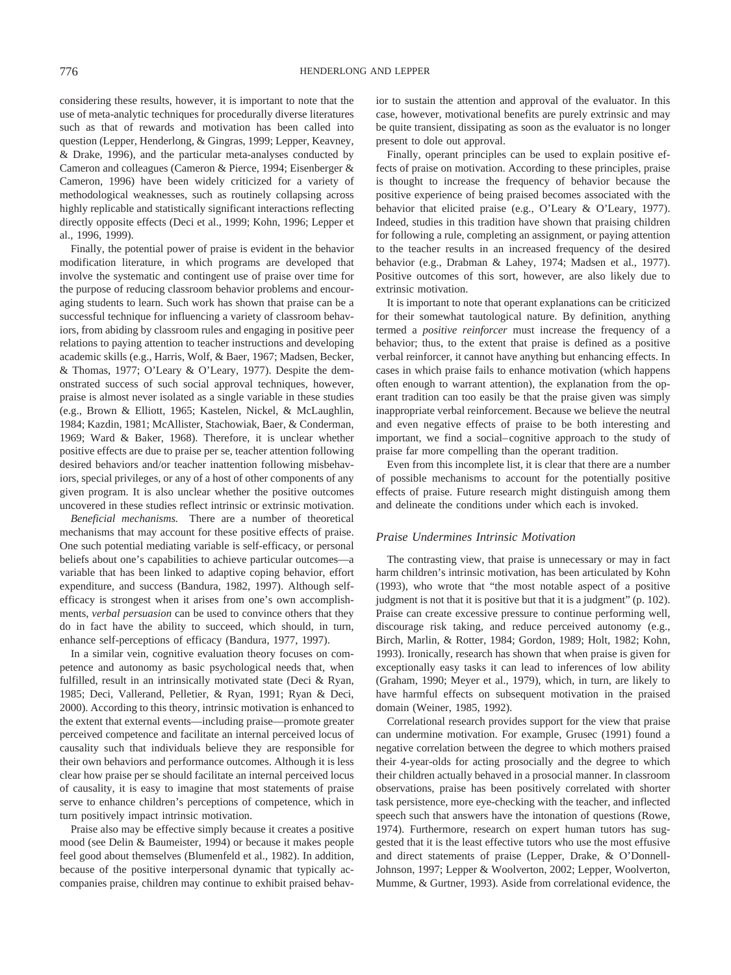considering these results, however, it is important to note that the use of meta-analytic techniques for procedurally diverse literatures such as that of rewards and motivation has been called into question (Lepper, Henderlong, & Gingras, 1999; Lepper, Keavney, & Drake, 1996), and the particular meta-analyses conducted by Cameron and colleagues (Cameron & Pierce, 1994; Eisenberger & Cameron, 1996) have been widely criticized for a variety of methodological weaknesses, such as routinely collapsing across highly replicable and statistically significant interactions reflecting directly opposite effects (Deci et al., 1999; Kohn, 1996; Lepper et al., 1996, 1999).

Finally, the potential power of praise is evident in the behavior modification literature, in which programs are developed that involve the systematic and contingent use of praise over time for the purpose of reducing classroom behavior problems and encouraging students to learn. Such work has shown that praise can be a successful technique for influencing a variety of classroom behaviors, from abiding by classroom rules and engaging in positive peer relations to paying attention to teacher instructions and developing academic skills (e.g., Harris, Wolf, & Baer, 1967; Madsen, Becker, & Thomas, 1977; O'Leary & O'Leary, 1977). Despite the demonstrated success of such social approval techniques, however, praise is almost never isolated as a single variable in these studies (e.g., Brown & Elliott, 1965; Kastelen, Nickel, & McLaughlin, 1984; Kazdin, 1981; McAllister, Stachowiak, Baer, & Conderman, 1969; Ward & Baker, 1968). Therefore, it is unclear whether positive effects are due to praise per se, teacher attention following desired behaviors and/or teacher inattention following misbehaviors, special privileges, or any of a host of other components of any given program. It is also unclear whether the positive outcomes uncovered in these studies reflect intrinsic or extrinsic motivation.

*Beneficial mechanisms.* There are a number of theoretical mechanisms that may account for these positive effects of praise. One such potential mediating variable is self-efficacy, or personal beliefs about one's capabilities to achieve particular outcomes—a variable that has been linked to adaptive coping behavior, effort expenditure, and success (Bandura, 1982, 1997). Although selfefficacy is strongest when it arises from one's own accomplishments, *verbal persuasion* can be used to convince others that they do in fact have the ability to succeed, which should, in turn, enhance self-perceptions of efficacy (Bandura, 1977, 1997).

In a similar vein, cognitive evaluation theory focuses on competence and autonomy as basic psychological needs that, when fulfilled, result in an intrinsically motivated state (Deci & Ryan, 1985; Deci, Vallerand, Pelletier, & Ryan, 1991; Ryan & Deci, 2000). According to this theory, intrinsic motivation is enhanced to the extent that external events—including praise—promote greater perceived competence and facilitate an internal perceived locus of causality such that individuals believe they are responsible for their own behaviors and performance outcomes. Although it is less clear how praise per se should facilitate an internal perceived locus of causality, it is easy to imagine that most statements of praise serve to enhance children's perceptions of competence, which in turn positively impact intrinsic motivation.

Praise also may be effective simply because it creates a positive mood (see Delin & Baumeister, 1994) or because it makes people feel good about themselves (Blumenfeld et al., 1982). In addition, because of the positive interpersonal dynamic that typically accompanies praise, children may continue to exhibit praised behavior to sustain the attention and approval of the evaluator. In this case, however, motivational benefits are purely extrinsic and may be quite transient, dissipating as soon as the evaluator is no longer present to dole out approval.

Finally, operant principles can be used to explain positive effects of praise on motivation. According to these principles, praise is thought to increase the frequency of behavior because the positive experience of being praised becomes associated with the behavior that elicited praise (e.g., O'Leary & O'Leary, 1977). Indeed, studies in this tradition have shown that praising children for following a rule, completing an assignment, or paying attention to the teacher results in an increased frequency of the desired behavior (e.g., Drabman & Lahey, 1974; Madsen et al., 1977). Positive outcomes of this sort, however, are also likely due to extrinsic motivation.

It is important to note that operant explanations can be criticized for their somewhat tautological nature. By definition, anything termed a *positive reinforcer* must increase the frequency of a behavior; thus, to the extent that praise is defined as a positive verbal reinforcer, it cannot have anything but enhancing effects. In cases in which praise fails to enhance motivation (which happens often enough to warrant attention), the explanation from the operant tradition can too easily be that the praise given was simply inappropriate verbal reinforcement. Because we believe the neutral and even negative effects of praise to be both interesting and important, we find a social–cognitive approach to the study of praise far more compelling than the operant tradition.

Even from this incomplete list, it is clear that there are a number of possible mechanisms to account for the potentially positive effects of praise. Future research might distinguish among them and delineate the conditions under which each is invoked.

### *Praise Undermines Intrinsic Motivation*

The contrasting view, that praise is unnecessary or may in fact harm children's intrinsic motivation, has been articulated by Kohn (1993), who wrote that "the most notable aspect of a positive judgment is not that it is positive but that it is a judgment" (p. 102). Praise can create excessive pressure to continue performing well, discourage risk taking, and reduce perceived autonomy (e.g., Birch, Marlin, & Rotter, 1984; Gordon, 1989; Holt, 1982; Kohn, 1993). Ironically, research has shown that when praise is given for exceptionally easy tasks it can lead to inferences of low ability (Graham, 1990; Meyer et al., 1979), which, in turn, are likely to have harmful effects on subsequent motivation in the praised domain (Weiner, 1985, 1992).

Correlational research provides support for the view that praise can undermine motivation. For example, Grusec (1991) found a negative correlation between the degree to which mothers praised their 4-year-olds for acting prosocially and the degree to which their children actually behaved in a prosocial manner. In classroom observations, praise has been positively correlated with shorter task persistence, more eye-checking with the teacher, and inflected speech such that answers have the intonation of questions (Rowe, 1974). Furthermore, research on expert human tutors has suggested that it is the least effective tutors who use the most effusive and direct statements of praise (Lepper, Drake, & O'Donnell-Johnson, 1997; Lepper & Woolverton, 2002; Lepper, Woolverton, Mumme, & Gurtner, 1993). Aside from correlational evidence, the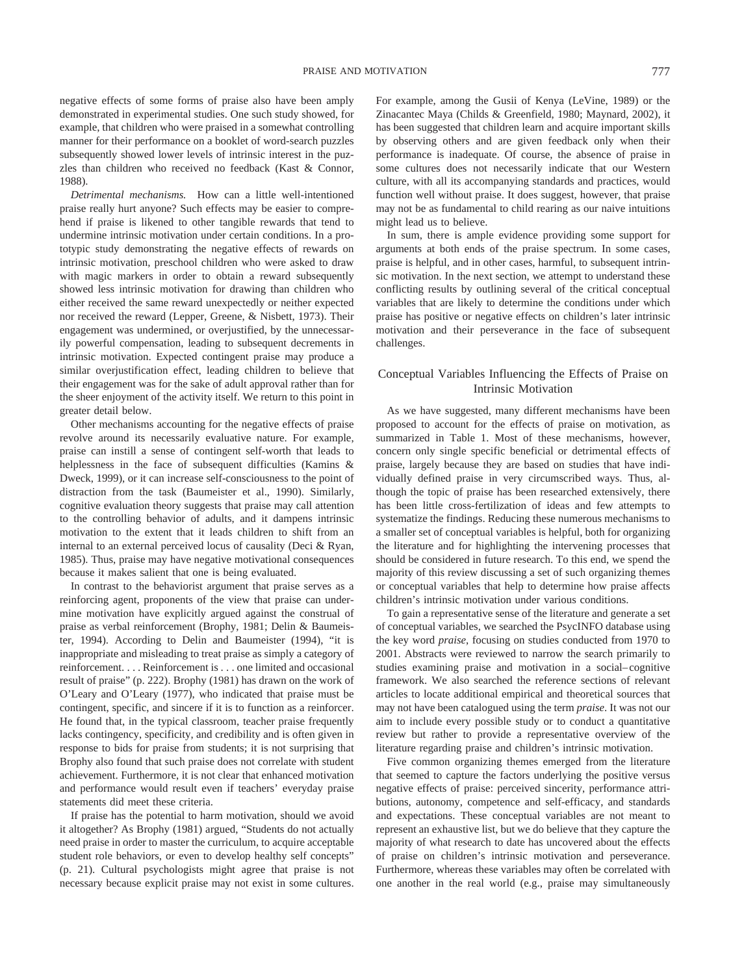negative effects of some forms of praise also have been amply demonstrated in experimental studies. One such study showed, for example, that children who were praised in a somewhat controlling manner for their performance on a booklet of word-search puzzles subsequently showed lower levels of intrinsic interest in the puzzles than children who received no feedback (Kast & Connor, 1988).

*Detrimental mechanisms.* How can a little well-intentioned praise really hurt anyone? Such effects may be easier to comprehend if praise is likened to other tangible rewards that tend to undermine intrinsic motivation under certain conditions. In a prototypic study demonstrating the negative effects of rewards on intrinsic motivation, preschool children who were asked to draw with magic markers in order to obtain a reward subsequently showed less intrinsic motivation for drawing than children who either received the same reward unexpectedly or neither expected nor received the reward (Lepper, Greene, & Nisbett, 1973). Their engagement was undermined, or overjustified, by the unnecessarily powerful compensation, leading to subsequent decrements in intrinsic motivation. Expected contingent praise may produce a similar overjustification effect, leading children to believe that their engagement was for the sake of adult approval rather than for the sheer enjoyment of the activity itself. We return to this point in greater detail below.

Other mechanisms accounting for the negative effects of praise revolve around its necessarily evaluative nature. For example, praise can instill a sense of contingent self-worth that leads to helplessness in the face of subsequent difficulties (Kamins & Dweck, 1999), or it can increase self-consciousness to the point of distraction from the task (Baumeister et al., 1990). Similarly, cognitive evaluation theory suggests that praise may call attention to the controlling behavior of adults, and it dampens intrinsic motivation to the extent that it leads children to shift from an internal to an external perceived locus of causality (Deci & Ryan, 1985). Thus, praise may have negative motivational consequences because it makes salient that one is being evaluated.

In contrast to the behaviorist argument that praise serves as a reinforcing agent, proponents of the view that praise can undermine motivation have explicitly argued against the construal of praise as verbal reinforcement (Brophy, 1981; Delin & Baumeister, 1994). According to Delin and Baumeister (1994), "it is inappropriate and misleading to treat praise as simply a category of reinforcement. . . . Reinforcement is . . . one limited and occasional result of praise" (p. 222). Brophy (1981) has drawn on the work of O'Leary and O'Leary (1977), who indicated that praise must be contingent, specific, and sincere if it is to function as a reinforcer. He found that, in the typical classroom, teacher praise frequently lacks contingency, specificity, and credibility and is often given in response to bids for praise from students; it is not surprising that Brophy also found that such praise does not correlate with student achievement. Furthermore, it is not clear that enhanced motivation and performance would result even if teachers' everyday praise statements did meet these criteria.

If praise has the potential to harm motivation, should we avoid it altogether? As Brophy (1981) argued, "Students do not actually need praise in order to master the curriculum, to acquire acceptable student role behaviors, or even to develop healthy self concepts" (p. 21). Cultural psychologists might agree that praise is not necessary because explicit praise may not exist in some cultures.

For example, among the Gusii of Kenya (LeVine, 1989) or the Zinacantec Maya (Childs & Greenfield, 1980; Maynard, 2002), it has been suggested that children learn and acquire important skills by observing others and are given feedback only when their performance is inadequate. Of course, the absence of praise in some cultures does not necessarily indicate that our Western culture, with all its accompanying standards and practices, would function well without praise. It does suggest, however, that praise may not be as fundamental to child rearing as our naive intuitions might lead us to believe.

In sum, there is ample evidence providing some support for arguments at both ends of the praise spectrum. In some cases, praise is helpful, and in other cases, harmful, to subsequent intrinsic motivation. In the next section, we attempt to understand these conflicting results by outlining several of the critical conceptual variables that are likely to determine the conditions under which praise has positive or negative effects on children's later intrinsic motivation and their perseverance in the face of subsequent challenges.

# Conceptual Variables Influencing the Effects of Praise on Intrinsic Motivation

As we have suggested, many different mechanisms have been proposed to account for the effects of praise on motivation, as summarized in Table 1. Most of these mechanisms, however, concern only single specific beneficial or detrimental effects of praise, largely because they are based on studies that have individually defined praise in very circumscribed ways. Thus, although the topic of praise has been researched extensively, there has been little cross-fertilization of ideas and few attempts to systematize the findings. Reducing these numerous mechanisms to a smaller set of conceptual variables is helpful, both for organizing the literature and for highlighting the intervening processes that should be considered in future research. To this end, we spend the majority of this review discussing a set of such organizing themes or conceptual variables that help to determine how praise affects children's intrinsic motivation under various conditions.

To gain a representative sense of the literature and generate a set of conceptual variables, we searched the PsycINFO database using the key word *praise*, focusing on studies conducted from 1970 to 2001. Abstracts were reviewed to narrow the search primarily to studies examining praise and motivation in a social–cognitive framework. We also searched the reference sections of relevant articles to locate additional empirical and theoretical sources that may not have been catalogued using the term *praise*. It was not our aim to include every possible study or to conduct a quantitative review but rather to provide a representative overview of the literature regarding praise and children's intrinsic motivation.

Five common organizing themes emerged from the literature that seemed to capture the factors underlying the positive versus negative effects of praise: perceived sincerity, performance attributions, autonomy, competence and self-efficacy, and standards and expectations. These conceptual variables are not meant to represent an exhaustive list, but we do believe that they capture the majority of what research to date has uncovered about the effects of praise on children's intrinsic motivation and perseverance. Furthermore, whereas these variables may often be correlated with one another in the real world (e.g., praise may simultaneously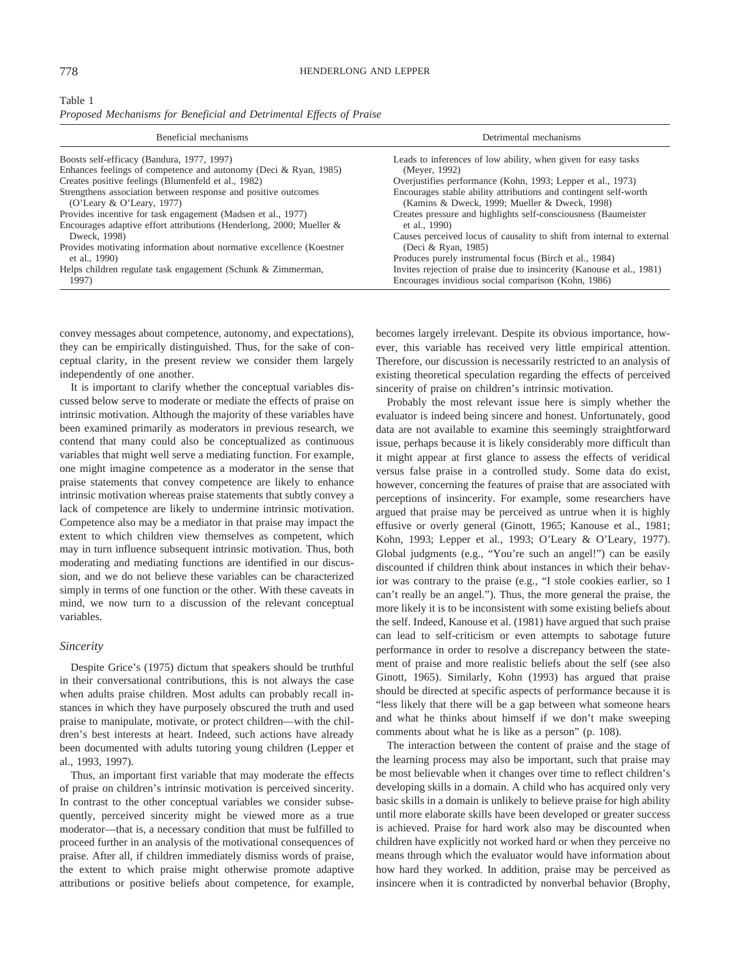| ×<br>×<br>٠<br>۰, |  |
|-------------------|--|
|-------------------|--|

| Proposed Mechanisms for Beneficial and Detrimental Effects of Praise |  |  |  |  |  |  |  |
|----------------------------------------------------------------------|--|--|--|--|--|--|--|
|----------------------------------------------------------------------|--|--|--|--|--|--|--|

| Beneficial mechanisms                                                | Detrimental mechanisms                                                 |  |  |  |  |
|----------------------------------------------------------------------|------------------------------------------------------------------------|--|--|--|--|
| Boosts self-efficacy (Bandura, 1977, 1997)                           | Leads to inferences of low ability, when given for easy tasks          |  |  |  |  |
| Enhances feelings of competence and autonomy (Deci & Ryan, 1985)     | (Meyer, 1992)                                                          |  |  |  |  |
| Creates positive feelings (Blumenfeld et al., 1982)                  | Overjustifies performance (Kohn, 1993; Lepper et al., 1973)            |  |  |  |  |
| Strengthens association between response and positive outcomes       | Encourages stable ability attributions and contingent self-worth       |  |  |  |  |
| (O'Leary & O'Leary, 1977)                                            | (Kamins & Dweck, 1999; Mueller & Dweck, 1998)                          |  |  |  |  |
| Provides incentive for task engagement (Madsen et al., 1977)         | Creates pressure and highlights self-consciousness (Baumeister)        |  |  |  |  |
| Encourages adaptive effort attributions (Henderlong, 2000; Mueller & | et al., 1990)                                                          |  |  |  |  |
| Dweck, 1998)                                                         | Causes perceived locus of causality to shift from internal to external |  |  |  |  |
| Provides motivating information about normative excellence (Koestner | (Deci & Ryan, 1985)                                                    |  |  |  |  |
| et al., 1990)                                                        | Produces purely instrumental focus (Birch et al., 1984)                |  |  |  |  |
| Helps children regulate task engagement (Schunk & Zimmerman,         | Invites rejection of praise due to insincerity (Kanouse et al., 1981)  |  |  |  |  |
| 1997)                                                                | Encourages invidious social comparison (Kohn, 1986)                    |  |  |  |  |

convey messages about competence, autonomy, and expectations), they can be empirically distinguished. Thus, for the sake of conceptual clarity, in the present review we consider them largely independently of one another.

It is important to clarify whether the conceptual variables discussed below serve to moderate or mediate the effects of praise on intrinsic motivation. Although the majority of these variables have been examined primarily as moderators in previous research, we contend that many could also be conceptualized as continuous variables that might well serve a mediating function. For example, one might imagine competence as a moderator in the sense that praise statements that convey competence are likely to enhance intrinsic motivation whereas praise statements that subtly convey a lack of competence are likely to undermine intrinsic motivation. Competence also may be a mediator in that praise may impact the extent to which children view themselves as competent, which may in turn influence subsequent intrinsic motivation. Thus, both moderating and mediating functions are identified in our discussion, and we do not believe these variables can be characterized simply in terms of one function or the other. With these caveats in mind, we now turn to a discussion of the relevant conceptual variables.

# *Sincerity*

Despite Grice's (1975) dictum that speakers should be truthful in their conversational contributions, this is not always the case when adults praise children. Most adults can probably recall instances in which they have purposely obscured the truth and used praise to manipulate, motivate, or protect children—with the children's best interests at heart. Indeed, such actions have already been documented with adults tutoring young children (Lepper et al., 1993, 1997).

Thus, an important first variable that may moderate the effects of praise on children's intrinsic motivation is perceived sincerity. In contrast to the other conceptual variables we consider subsequently, perceived sincerity might be viewed more as a true moderator—that is, a necessary condition that must be fulfilled to proceed further in an analysis of the motivational consequences of praise. After all, if children immediately dismiss words of praise, the extent to which praise might otherwise promote adaptive attributions or positive beliefs about competence, for example,

becomes largely irrelevant. Despite its obvious importance, however, this variable has received very little empirical attention. Therefore, our discussion is necessarily restricted to an analysis of existing theoretical speculation regarding the effects of perceived sincerity of praise on children's intrinsic motivation.

Probably the most relevant issue here is simply whether the evaluator is indeed being sincere and honest. Unfortunately, good data are not available to examine this seemingly straightforward issue, perhaps because it is likely considerably more difficult than it might appear at first glance to assess the effects of veridical versus false praise in a controlled study. Some data do exist, however, concerning the features of praise that are associated with perceptions of insincerity. For example, some researchers have argued that praise may be perceived as untrue when it is highly effusive or overly general (Ginott, 1965; Kanouse et al., 1981; Kohn, 1993; Lepper et al., 1993; O'Leary & O'Leary, 1977). Global judgments (e.g., "You're such an angel!") can be easily discounted if children think about instances in which their behavior was contrary to the praise (e.g., "I stole cookies earlier, so I can't really be an angel."). Thus, the more general the praise, the more likely it is to be inconsistent with some existing beliefs about the self. Indeed, Kanouse et al. (1981) have argued that such praise can lead to self-criticism or even attempts to sabotage future performance in order to resolve a discrepancy between the statement of praise and more realistic beliefs about the self (see also Ginott, 1965). Similarly, Kohn (1993) has argued that praise should be directed at specific aspects of performance because it is "less likely that there will be a gap between what someone hears and what he thinks about himself if we don't make sweeping comments about what he is like as a person" (p. 108).

The interaction between the content of praise and the stage of the learning process may also be important, such that praise may be most believable when it changes over time to reflect children's developing skills in a domain. A child who has acquired only very basic skills in a domain is unlikely to believe praise for high ability until more elaborate skills have been developed or greater success is achieved. Praise for hard work also may be discounted when children have explicitly not worked hard or when they perceive no means through which the evaluator would have information about how hard they worked. In addition, praise may be perceived as insincere when it is contradicted by nonverbal behavior (Brophy,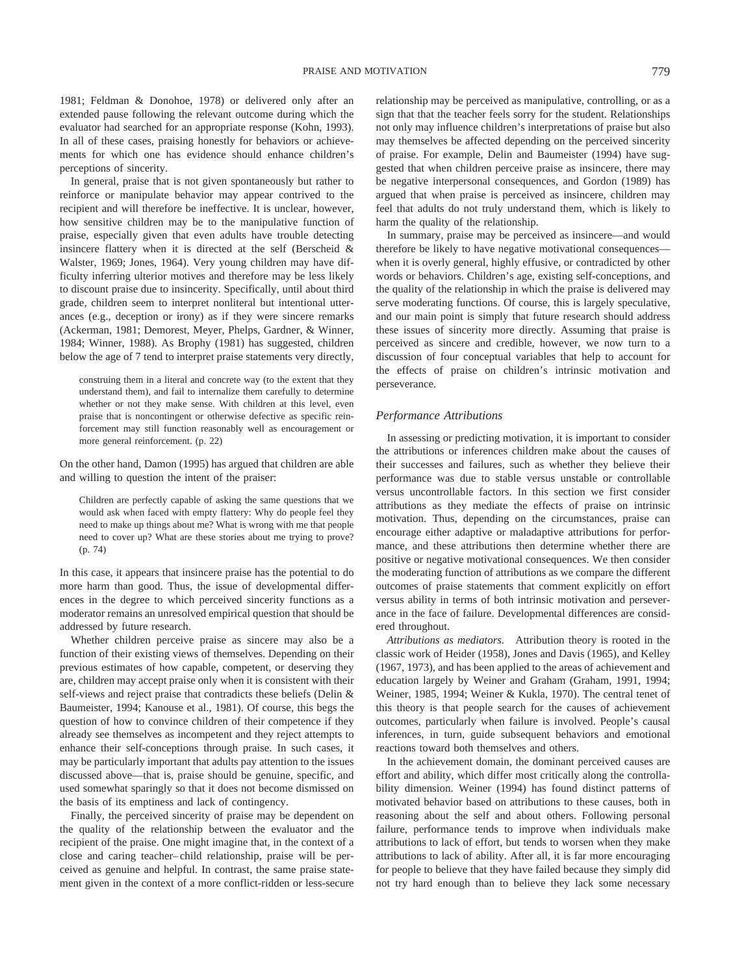1981; Feldman & Donohoe, 1978) or delivered only after an extended pause following the relevant outcome during which the evaluator had searched for an appropriate response (Kohn, 1993). In all of these cases, praising honestly for behaviors or achievements for which one has evidence should enhance children's perceptions of sincerity.

In general, praise that is not given spontaneously but rather to reinforce or manipulate behavior may appear contrived to the recipient and will therefore be ineffective. It is unclear, however, how sensitive children may be to the manipulative function of praise, especially given that even adults have trouble detecting insincere flattery when it is directed at the self (Berscheid & Walster, 1969; Jones, 1964). Very young children may have difficulty inferring ulterior motives and therefore may be less likely to discount praise due to insincerity. Specifically, until about third grade, children seem to interpret nonliteral but intentional utterances (e.g., deception or irony) as if they were sincere remarks (Ackerman, 1981; Demorest, Meyer, Phelps, Gardner, & Winner, 1984; Winner, 1988). As Brophy (1981) has suggested, children below the age of 7 tend to interpret praise statements very directly,

construing them in a literal and concrete way (to the extent that they understand them), and fail to internalize them carefully to determine whether or not they make sense. With children at this level, even praise that is noncontingent or otherwise defective as specific reinforcement may still function reasonably well as encouragement or more general reinforcement. (p. 22)

On the other hand, Damon (1995) has argued that children are able and willing to question the intent of the praiser:

Children are perfectly capable of asking the same questions that we would ask when faced with empty flattery: Why do people feel they need to make up things about me? What is wrong with me that people need to cover up? What are these stories about me trying to prove? (p. 74)

In this case, it appears that insincere praise has the potential to do more harm than good. Thus, the issue of developmental differences in the degree to which perceived sincerity functions as a moderator remains an unresolved empirical question that should be addressed by future research.

Whether children perceive praise as sincere may also be a function of their existing views of themselves. Depending on their previous estimates of how capable, competent, or deserving they are, children may accept praise only when it is consistent with their self-views and reject praise that contradicts these beliefs (Delin & Baumeister, 1994; Kanouse et al., 1981). Of course, this begs the question of how to convince children of their competence if they already see themselves as incompetent and they reject attempts to enhance their self-conceptions through praise. In such cases, it may be particularly important that adults pay attention to the issues discussed above—that is, praise should be genuine, specific, and used somewhat sparingly so that it does not become dismissed on the basis of its emptiness and lack of contingency.

Finally, the perceived sincerity of praise may be dependent on the quality of the relationship between the evaluator and the recipient of the praise. One might imagine that, in the context of a close and caring teacher–child relationship, praise will be perceived as genuine and helpful. In contrast, the same praise statement given in the context of a more conflict-ridden or less-secure relationship may be perceived as manipulative, controlling, or as a sign that that the teacher feels sorry for the student. Relationships not only may influence children's interpretations of praise but also may themselves be affected depending on the perceived sincerity of praise. For example, Delin and Baumeister (1994) have suggested that when children perceive praise as insincere, there may be negative interpersonal consequences, and Gordon (1989) has argued that when praise is perceived as insincere, children may feel that adults do not truly understand them, which is likely to harm the quality of the relationship.

In summary, praise may be perceived as insincere—and would therefore be likely to have negative motivational consequences when it is overly general, highly effusive, or contradicted by other words or behaviors. Children's age, existing self-conceptions, and the quality of the relationship in which the praise is delivered may serve moderating functions. Of course, this is largely speculative, and our main point is simply that future research should address these issues of sincerity more directly. Assuming that praise is perceived as sincere and credible, however, we now turn to a discussion of four conceptual variables that help to account for the effects of praise on children's intrinsic motivation and perseverance.

### *Performance Attributions*

In assessing or predicting motivation, it is important to consider the attributions or inferences children make about the causes of their successes and failures, such as whether they believe their performance was due to stable versus unstable or controllable versus uncontrollable factors. In this section we first consider attributions as they mediate the effects of praise on intrinsic motivation. Thus, depending on the circumstances, praise can encourage either adaptive or maladaptive attributions for performance, and these attributions then determine whether there are positive or negative motivational consequences. We then consider the moderating function of attributions as we compare the different outcomes of praise statements that comment explicitly on effort versus ability in terms of both intrinsic motivation and perseverance in the face of failure. Developmental differences are considered throughout.

*Attributions as mediators.* Attribution theory is rooted in the classic work of Heider (1958), Jones and Davis (1965), and Kelley (1967, 1973), and has been applied to the areas of achievement and education largely by Weiner and Graham (Graham, 1991, 1994; Weiner, 1985, 1994; Weiner & Kukla, 1970). The central tenet of this theory is that people search for the causes of achievement outcomes, particularly when failure is involved. People's causal inferences, in turn, guide subsequent behaviors and emotional reactions toward both themselves and others.

In the achievement domain, the dominant perceived causes are effort and ability, which differ most critically along the controllability dimension. Weiner (1994) has found distinct patterns of motivated behavior based on attributions to these causes, both in reasoning about the self and about others. Following personal failure, performance tends to improve when individuals make attributions to lack of effort, but tends to worsen when they make attributions to lack of ability. After all, it is far more encouraging for people to believe that they have failed because they simply did not try hard enough than to believe they lack some necessary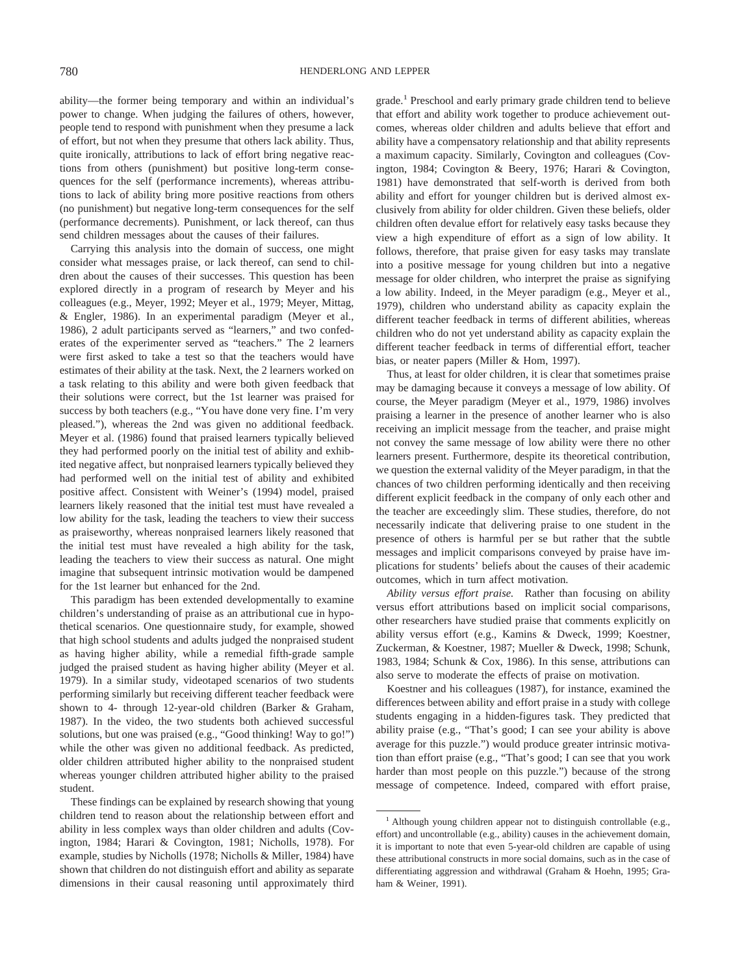ability—the former being temporary and within an individual's power to change. When judging the failures of others, however, people tend to respond with punishment when they presume a lack of effort, but not when they presume that others lack ability. Thus, quite ironically, attributions to lack of effort bring negative reactions from others (punishment) but positive long-term consequences for the self (performance increments), whereas attributions to lack of ability bring more positive reactions from others (no punishment) but negative long-term consequences for the self (performance decrements). Punishment, or lack thereof, can thus send children messages about the causes of their failures.

Carrying this analysis into the domain of success, one might consider what messages praise, or lack thereof, can send to children about the causes of their successes. This question has been explored directly in a program of research by Meyer and his colleagues (e.g., Meyer, 1992; Meyer et al., 1979; Meyer, Mittag, & Engler, 1986). In an experimental paradigm (Meyer et al., 1986), 2 adult participants served as "learners," and two confederates of the experimenter served as "teachers." The 2 learners were first asked to take a test so that the teachers would have estimates of their ability at the task. Next, the 2 learners worked on a task relating to this ability and were both given feedback that their solutions were correct, but the 1st learner was praised for success by both teachers (e.g., "You have done very fine. I'm very pleased."), whereas the 2nd was given no additional feedback. Meyer et al. (1986) found that praised learners typically believed they had performed poorly on the initial test of ability and exhibited negative affect, but nonpraised learners typically believed they had performed well on the initial test of ability and exhibited positive affect. Consistent with Weiner's (1994) model, praised learners likely reasoned that the initial test must have revealed a low ability for the task, leading the teachers to view their success as praiseworthy, whereas nonpraised learners likely reasoned that the initial test must have revealed a high ability for the task, leading the teachers to view their success as natural. One might imagine that subsequent intrinsic motivation would be dampened for the 1st learner but enhanced for the 2nd.

This paradigm has been extended developmentally to examine children's understanding of praise as an attributional cue in hypothetical scenarios. One questionnaire study, for example, showed that high school students and adults judged the nonpraised student as having higher ability, while a remedial fifth-grade sample judged the praised student as having higher ability (Meyer et al. 1979). In a similar study, videotaped scenarios of two students performing similarly but receiving different teacher feedback were shown to 4- through 12-year-old children (Barker & Graham, 1987). In the video, the two students both achieved successful solutions, but one was praised (e.g., "Good thinking! Way to go!") while the other was given no additional feedback. As predicted, older children attributed higher ability to the nonpraised student whereas younger children attributed higher ability to the praised student.

These findings can be explained by research showing that young children tend to reason about the relationship between effort and ability in less complex ways than older children and adults (Covington, 1984; Harari & Covington, 1981; Nicholls, 1978). For example, studies by Nicholls (1978; Nicholls & Miller, 1984) have shown that children do not distinguish effort and ability as separate dimensions in their causal reasoning until approximately third

grade.1 Preschool and early primary grade children tend to believe that effort and ability work together to produce achievement outcomes, whereas older children and adults believe that effort and ability have a compensatory relationship and that ability represents a maximum capacity. Similarly, Covington and colleagues (Covington, 1984; Covington & Beery, 1976; Harari & Covington, 1981) have demonstrated that self-worth is derived from both ability and effort for younger children but is derived almost exclusively from ability for older children. Given these beliefs, older children often devalue effort for relatively easy tasks because they view a high expenditure of effort as a sign of low ability. It follows, therefore, that praise given for easy tasks may translate into a positive message for young children but into a negative message for older children, who interpret the praise as signifying a low ability. Indeed, in the Meyer paradigm (e.g., Meyer et al., 1979), children who understand ability as capacity explain the different teacher feedback in terms of different abilities, whereas children who do not yet understand ability as capacity explain the different teacher feedback in terms of differential effort, teacher bias, or neater papers (Miller & Hom, 1997).

Thus, at least for older children, it is clear that sometimes praise may be damaging because it conveys a message of low ability. Of course, the Meyer paradigm (Meyer et al., 1979, 1986) involves praising a learner in the presence of another learner who is also receiving an implicit message from the teacher, and praise might not convey the same message of low ability were there no other learners present. Furthermore, despite its theoretical contribution, we question the external validity of the Meyer paradigm, in that the chances of two children performing identically and then receiving different explicit feedback in the company of only each other and the teacher are exceedingly slim. These studies, therefore, do not necessarily indicate that delivering praise to one student in the presence of others is harmful per se but rather that the subtle messages and implicit comparisons conveyed by praise have implications for students' beliefs about the causes of their academic outcomes, which in turn affect motivation.

*Ability versus effort praise.* Rather than focusing on ability versus effort attributions based on implicit social comparisons, other researchers have studied praise that comments explicitly on ability versus effort (e.g., Kamins & Dweck, 1999; Koestner, Zuckerman, & Koestner, 1987; Mueller & Dweck, 1998; Schunk, 1983, 1984; Schunk & Cox, 1986). In this sense, attributions can also serve to moderate the effects of praise on motivation.

Koestner and his colleagues (1987), for instance, examined the differences between ability and effort praise in a study with college students engaging in a hidden-figures task. They predicted that ability praise (e.g., "That's good; I can see your ability is above average for this puzzle.") would produce greater intrinsic motivation than effort praise (e.g., "That's good; I can see that you work harder than most people on this puzzle.") because of the strong message of competence. Indeed, compared with effort praise,

<sup>&</sup>lt;sup>1</sup> Although young children appear not to distinguish controllable (e.g., effort) and uncontrollable (e.g., ability) causes in the achievement domain, it is important to note that even 5-year-old children are capable of using these attributional constructs in more social domains, such as in the case of differentiating aggression and withdrawal (Graham & Hoehn, 1995; Graham & Weiner, 1991).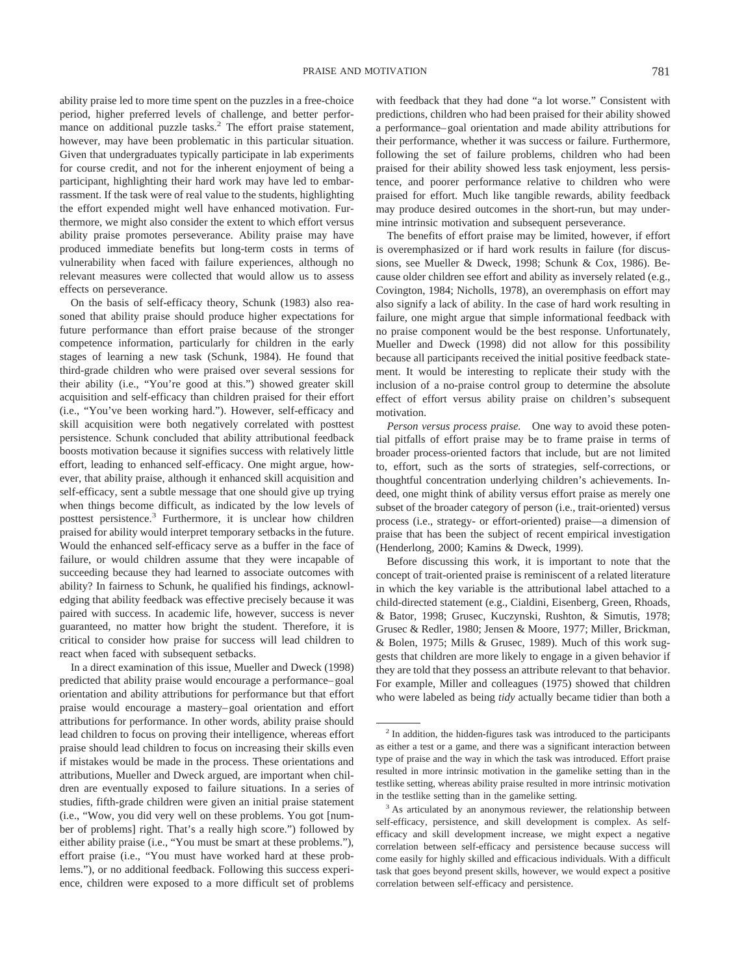ability praise led to more time spent on the puzzles in a free-choice period, higher preferred levels of challenge, and better performance on additional puzzle tasks. $<sup>2</sup>$  The effort praise statement,</sup> however, may have been problematic in this particular situation. Given that undergraduates typically participate in lab experiments for course credit, and not for the inherent enjoyment of being a participant, highlighting their hard work may have led to embarrassment. If the task were of real value to the students, highlighting the effort expended might well have enhanced motivation. Furthermore, we might also consider the extent to which effort versus ability praise promotes perseverance. Ability praise may have produced immediate benefits but long-term costs in terms of vulnerability when faced with failure experiences, although no relevant measures were collected that would allow us to assess effects on perseverance.

On the basis of self-efficacy theory, Schunk (1983) also reasoned that ability praise should produce higher expectations for future performance than effort praise because of the stronger competence information, particularly for children in the early stages of learning a new task (Schunk, 1984). He found that third-grade children who were praised over several sessions for their ability (i.e., "You're good at this.") showed greater skill acquisition and self-efficacy than children praised for their effort (i.e., "You've been working hard."). However, self-efficacy and skill acquisition were both negatively correlated with posttest persistence. Schunk concluded that ability attributional feedback boosts motivation because it signifies success with relatively little effort, leading to enhanced self-efficacy. One might argue, however, that ability praise, although it enhanced skill acquisition and self-efficacy, sent a subtle message that one should give up trying when things become difficult, as indicated by the low levels of posttest persistence.<sup>3</sup> Furthermore, it is unclear how children praised for ability would interpret temporary setbacks in the future. Would the enhanced self-efficacy serve as a buffer in the face of failure, or would children assume that they were incapable of succeeding because they had learned to associate outcomes with ability? In fairness to Schunk, he qualified his findings, acknowledging that ability feedback was effective precisely because it was paired with success. In academic life, however, success is never guaranteed, no matter how bright the student. Therefore, it is critical to consider how praise for success will lead children to react when faced with subsequent setbacks.

In a direct examination of this issue, Mueller and Dweck (1998) predicted that ability praise would encourage a performance–goal orientation and ability attributions for performance but that effort praise would encourage a mastery–goal orientation and effort attributions for performance. In other words, ability praise should lead children to focus on proving their intelligence, whereas effort praise should lead children to focus on increasing their skills even if mistakes would be made in the process. These orientations and attributions, Mueller and Dweck argued, are important when children are eventually exposed to failure situations. In a series of studies, fifth-grade children were given an initial praise statement (i.e., "Wow, you did very well on these problems. You got [number of problems] right. That's a really high score.") followed by either ability praise (i.e., "You must be smart at these problems."), effort praise (i.e., "You must have worked hard at these problems."), or no additional feedback. Following this success experience, children were exposed to a more difficult set of problems

with feedback that they had done "a lot worse." Consistent with predictions, children who had been praised for their ability showed a performance–goal orientation and made ability attributions for their performance, whether it was success or failure. Furthermore, following the set of failure problems, children who had been praised for their ability showed less task enjoyment, less persistence, and poorer performance relative to children who were praised for effort. Much like tangible rewards, ability feedback may produce desired outcomes in the short-run, but may undermine intrinsic motivation and subsequent perseverance.

The benefits of effort praise may be limited, however, if effort is overemphasized or if hard work results in failure (for discussions, see Mueller & Dweck, 1998; Schunk & Cox, 1986). Because older children see effort and ability as inversely related (e.g., Covington, 1984; Nicholls, 1978), an overemphasis on effort may also signify a lack of ability. In the case of hard work resulting in failure, one might argue that simple informational feedback with no praise component would be the best response. Unfortunately, Mueller and Dweck (1998) did not allow for this possibility because all participants received the initial positive feedback statement. It would be interesting to replicate their study with the inclusion of a no-praise control group to determine the absolute effect of effort versus ability praise on children's subsequent motivation.

*Person versus process praise.* One way to avoid these potential pitfalls of effort praise may be to frame praise in terms of broader process-oriented factors that include, but are not limited to, effort, such as the sorts of strategies, self-corrections, or thoughtful concentration underlying children's achievements. Indeed, one might think of ability versus effort praise as merely one subset of the broader category of person (i.e., trait-oriented) versus process (i.e., strategy- or effort-oriented) praise—a dimension of praise that has been the subject of recent empirical investigation (Henderlong, 2000; Kamins & Dweck, 1999).

Before discussing this work, it is important to note that the concept of trait-oriented praise is reminiscent of a related literature in which the key variable is the attributional label attached to a child-directed statement (e.g., Cialdini, Eisenberg, Green, Rhoads, & Bator, 1998; Grusec, Kuczynski, Rushton, & Simutis, 1978; Grusec & Redler, 1980; Jensen & Moore, 1977; Miller, Brickman, & Bolen, 1975; Mills & Grusec, 1989). Much of this work suggests that children are more likely to engage in a given behavior if they are told that they possess an attribute relevant to that behavior. For example, Miller and colleagues (1975) showed that children who were labeled as being *tidy* actually became tidier than both a

<sup>&</sup>lt;sup>2</sup> In addition, the hidden-figures task was introduced to the participants as either a test or a game, and there was a significant interaction between type of praise and the way in which the task was introduced. Effort praise resulted in more intrinsic motivation in the gamelike setting than in the testlike setting, whereas ability praise resulted in more intrinsic motivation in the testlike setting than in the gamelike setting.

<sup>&</sup>lt;sup>3</sup> As articulated by an anonymous reviewer, the relationship between self-efficacy, persistence, and skill development is complex. As selfefficacy and skill development increase, we might expect a negative correlation between self-efficacy and persistence because success will come easily for highly skilled and efficacious individuals. With a difficult task that goes beyond present skills, however, we would expect a positive correlation between self-efficacy and persistence.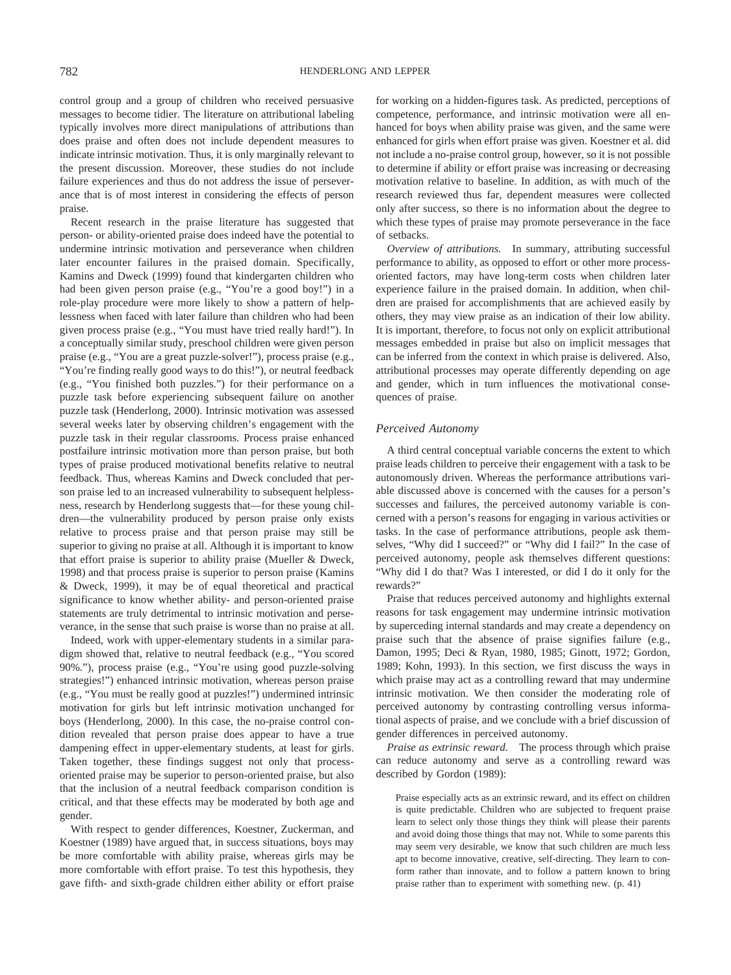control group and a group of children who received persuasive messages to become tidier. The literature on attributional labeling typically involves more direct manipulations of attributions than does praise and often does not include dependent measures to indicate intrinsic motivation. Thus, it is only marginally relevant to the present discussion. Moreover, these studies do not include failure experiences and thus do not address the issue of perseverance that is of most interest in considering the effects of person praise.

Recent research in the praise literature has suggested that person- or ability-oriented praise does indeed have the potential to undermine intrinsic motivation and perseverance when children later encounter failures in the praised domain. Specifically, Kamins and Dweck (1999) found that kindergarten children who had been given person praise (e.g., "You're a good boy!") in a role-play procedure were more likely to show a pattern of helplessness when faced with later failure than children who had been given process praise (e.g., "You must have tried really hard!"). In a conceptually similar study, preschool children were given person praise (e.g., "You are a great puzzle-solver!"), process praise (e.g., "You're finding really good ways to do this!"), or neutral feedback (e.g., "You finished both puzzles.") for their performance on a puzzle task before experiencing subsequent failure on another puzzle task (Henderlong, 2000). Intrinsic motivation was assessed several weeks later by observing children's engagement with the puzzle task in their regular classrooms. Process praise enhanced postfailure intrinsic motivation more than person praise, but both types of praise produced motivational benefits relative to neutral feedback. Thus, whereas Kamins and Dweck concluded that person praise led to an increased vulnerability to subsequent helplessness, research by Henderlong suggests that—for these young children—the vulnerability produced by person praise only exists relative to process praise and that person praise may still be superior to giving no praise at all. Although it is important to know that effort praise is superior to ability praise (Mueller & Dweck, 1998) and that process praise is superior to person praise (Kamins & Dweck, 1999), it may be of equal theoretical and practical significance to know whether ability- and person-oriented praise statements are truly detrimental to intrinsic motivation and perseverance, in the sense that such praise is worse than no praise at all.

Indeed, work with upper-elementary students in a similar paradigm showed that, relative to neutral feedback (e.g., "You scored 90%."), process praise (e.g., "You're using good puzzle-solving strategies!") enhanced intrinsic motivation, whereas person praise (e.g., "You must be really good at puzzles!") undermined intrinsic motivation for girls but left intrinsic motivation unchanged for boys (Henderlong, 2000). In this case, the no-praise control condition revealed that person praise does appear to have a true dampening effect in upper-elementary students, at least for girls. Taken together, these findings suggest not only that processoriented praise may be superior to person-oriented praise, but also that the inclusion of a neutral feedback comparison condition is critical, and that these effects may be moderated by both age and gender.

With respect to gender differences, Koestner, Zuckerman, and Koestner (1989) have argued that, in success situations, boys may be more comfortable with ability praise, whereas girls may be more comfortable with effort praise. To test this hypothesis, they gave fifth- and sixth-grade children either ability or effort praise

for working on a hidden-figures task. As predicted, perceptions of competence, performance, and intrinsic motivation were all enhanced for boys when ability praise was given, and the same were enhanced for girls when effort praise was given. Koestner et al. did not include a no-praise control group, however, so it is not possible to determine if ability or effort praise was increasing or decreasing motivation relative to baseline. In addition, as with much of the research reviewed thus far, dependent measures were collected only after success, so there is no information about the degree to which these types of praise may promote perseverance in the face of setbacks.

*Overview of attributions.* In summary, attributing successful performance to ability, as opposed to effort or other more processoriented factors, may have long-term costs when children later experience failure in the praised domain. In addition, when children are praised for accomplishments that are achieved easily by others, they may view praise as an indication of their low ability. It is important, therefore, to focus not only on explicit attributional messages embedded in praise but also on implicit messages that can be inferred from the context in which praise is delivered. Also, attributional processes may operate differently depending on age and gender, which in turn influences the motivational consequences of praise.

#### *Perceived Autonomy*

A third central conceptual variable concerns the extent to which praise leads children to perceive their engagement with a task to be autonomously driven. Whereas the performance attributions variable discussed above is concerned with the causes for a person's successes and failures, the perceived autonomy variable is concerned with a person's reasons for engaging in various activities or tasks. In the case of performance attributions, people ask themselves, "Why did I succeed?" or "Why did I fail?" In the case of perceived autonomy, people ask themselves different questions: "Why did I do that? Was I interested, or did I do it only for the rewards?"

Praise that reduces perceived autonomy and highlights external reasons for task engagement may undermine intrinsic motivation by superceding internal standards and may create a dependency on praise such that the absence of praise signifies failure (e.g., Damon, 1995; Deci & Ryan, 1980, 1985; Ginott, 1972; Gordon, 1989; Kohn, 1993). In this section, we first discuss the ways in which praise may act as a controlling reward that may undermine intrinsic motivation. We then consider the moderating role of perceived autonomy by contrasting controlling versus informational aspects of praise, and we conclude with a brief discussion of gender differences in perceived autonomy.

*Praise as extrinsic reward.* The process through which praise can reduce autonomy and serve as a controlling reward was described by Gordon (1989):

Praise especially acts as an extrinsic reward, and its effect on children is quite predictable. Children who are subjected to frequent praise learn to select only those things they think will please their parents and avoid doing those things that may not. While to some parents this may seem very desirable, we know that such children are much less apt to become innovative, creative, self-directing. They learn to conform rather than innovate, and to follow a pattern known to bring praise rather than to experiment with something new. (p. 41)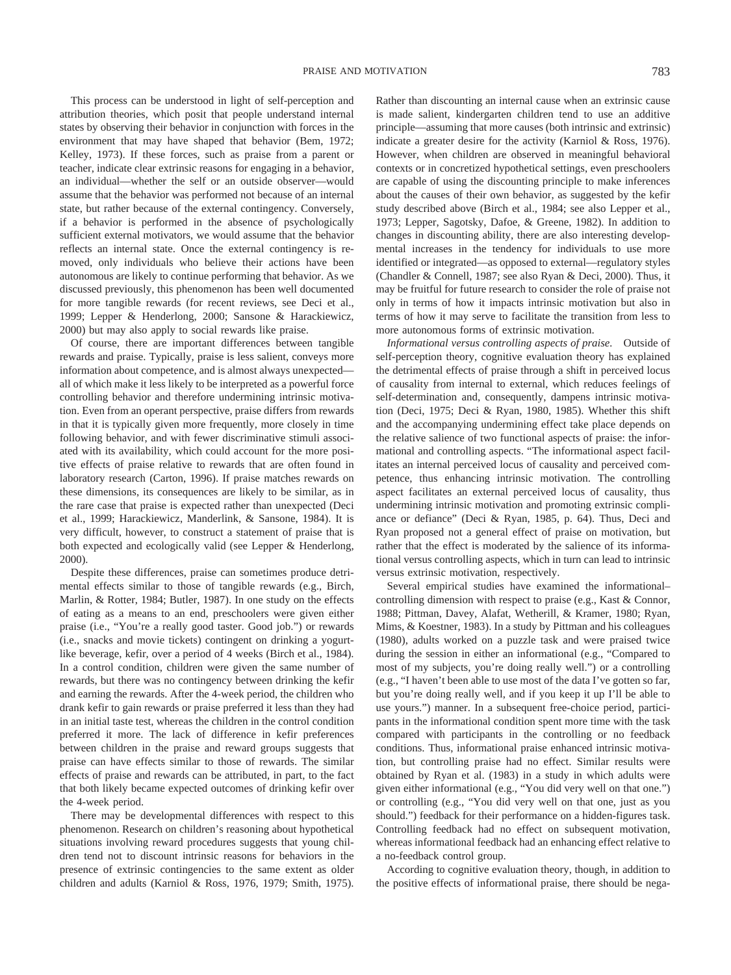This process can be understood in light of self-perception and attribution theories, which posit that people understand internal states by observing their behavior in conjunction with forces in the environment that may have shaped that behavior (Bem, 1972; Kelley, 1973). If these forces, such as praise from a parent or teacher, indicate clear extrinsic reasons for engaging in a behavior, an individual—whether the self or an outside observer—would assume that the behavior was performed not because of an internal state, but rather because of the external contingency. Conversely, if a behavior is performed in the absence of psychologically sufficient external motivators, we would assume that the behavior reflects an internal state. Once the external contingency is removed, only individuals who believe their actions have been autonomous are likely to continue performing that behavior. As we discussed previously, this phenomenon has been well documented for more tangible rewards (for recent reviews, see Deci et al., 1999; Lepper & Henderlong, 2000; Sansone & Harackiewicz, 2000) but may also apply to social rewards like praise.

Of course, there are important differences between tangible rewards and praise. Typically, praise is less salient, conveys more information about competence, and is almost always unexpected all of which make it less likely to be interpreted as a powerful force controlling behavior and therefore undermining intrinsic motivation. Even from an operant perspective, praise differs from rewards in that it is typically given more frequently, more closely in time following behavior, and with fewer discriminative stimuli associated with its availability, which could account for the more positive effects of praise relative to rewards that are often found in laboratory research (Carton, 1996). If praise matches rewards on these dimensions, its consequences are likely to be similar, as in the rare case that praise is expected rather than unexpected (Deci et al., 1999; Harackiewicz, Manderlink, & Sansone, 1984). It is very difficult, however, to construct a statement of praise that is both expected and ecologically valid (see Lepper & Henderlong, 2000).

Despite these differences, praise can sometimes produce detrimental effects similar to those of tangible rewards (e.g., Birch, Marlin, & Rotter, 1984; Butler, 1987). In one study on the effects of eating as a means to an end, preschoolers were given either praise (i.e., "You're a really good taster. Good job.") or rewards (i.e., snacks and movie tickets) contingent on drinking a yogurtlike beverage, kefir, over a period of 4 weeks (Birch et al., 1984). In a control condition, children were given the same number of rewards, but there was no contingency between drinking the kefir and earning the rewards. After the 4-week period, the children who drank kefir to gain rewards or praise preferred it less than they had in an initial taste test, whereas the children in the control condition preferred it more. The lack of difference in kefir preferences between children in the praise and reward groups suggests that praise can have effects similar to those of rewards. The similar effects of praise and rewards can be attributed, in part, to the fact that both likely became expected outcomes of drinking kefir over the 4-week period.

There may be developmental differences with respect to this phenomenon. Research on children's reasoning about hypothetical situations involving reward procedures suggests that young children tend not to discount intrinsic reasons for behaviors in the presence of extrinsic contingencies to the same extent as older children and adults (Karniol & Ross, 1976, 1979; Smith, 1975). Rather than discounting an internal cause when an extrinsic cause is made salient, kindergarten children tend to use an additive principle—assuming that more causes (both intrinsic and extrinsic) indicate a greater desire for the activity (Karniol & Ross, 1976). However, when children are observed in meaningful behavioral contexts or in concretized hypothetical settings, even preschoolers are capable of using the discounting principle to make inferences about the causes of their own behavior, as suggested by the kefir study described above (Birch et al., 1984; see also Lepper et al., 1973; Lepper, Sagotsky, Dafoe, & Greene, 1982). In addition to changes in discounting ability, there are also interesting developmental increases in the tendency for individuals to use more identified or integrated—as opposed to external—regulatory styles (Chandler & Connell, 1987; see also Ryan & Deci, 2000). Thus, it may be fruitful for future research to consider the role of praise not only in terms of how it impacts intrinsic motivation but also in terms of how it may serve to facilitate the transition from less to more autonomous forms of extrinsic motivation.

*Informational versus controlling aspects of praise.* Outside of self-perception theory, cognitive evaluation theory has explained the detrimental effects of praise through a shift in perceived locus of causality from internal to external, which reduces feelings of self-determination and, consequently, dampens intrinsic motivation (Deci, 1975; Deci & Ryan, 1980, 1985). Whether this shift and the accompanying undermining effect take place depends on the relative salience of two functional aspects of praise: the informational and controlling aspects. "The informational aspect facilitates an internal perceived locus of causality and perceived competence, thus enhancing intrinsic motivation. The controlling aspect facilitates an external perceived locus of causality, thus undermining intrinsic motivation and promoting extrinsic compliance or defiance" (Deci & Ryan, 1985, p. 64). Thus, Deci and Ryan proposed not a general effect of praise on motivation, but rather that the effect is moderated by the salience of its informational versus controlling aspects, which in turn can lead to intrinsic versus extrinsic motivation, respectively.

Several empirical studies have examined the informational– controlling dimension with respect to praise (e.g., Kast & Connor, 1988; Pittman, Davey, Alafat, Wetherill, & Kramer, 1980; Ryan, Mims, & Koestner, 1983). In a study by Pittman and his colleagues (1980), adults worked on a puzzle task and were praised twice during the session in either an informational (e.g., "Compared to most of my subjects, you're doing really well.") or a controlling (e.g., "I haven't been able to use most of the data I've gotten so far, but you're doing really well, and if you keep it up I'll be able to use yours.") manner. In a subsequent free-choice period, participants in the informational condition spent more time with the task compared with participants in the controlling or no feedback conditions. Thus, informational praise enhanced intrinsic motivation, but controlling praise had no effect. Similar results were obtained by Ryan et al. (1983) in a study in which adults were given either informational (e.g., "You did very well on that one.") or controlling (e.g., "You did very well on that one, just as you should.") feedback for their performance on a hidden-figures task. Controlling feedback had no effect on subsequent motivation, whereas informational feedback had an enhancing effect relative to a no-feedback control group.

According to cognitive evaluation theory, though, in addition to the positive effects of informational praise, there should be nega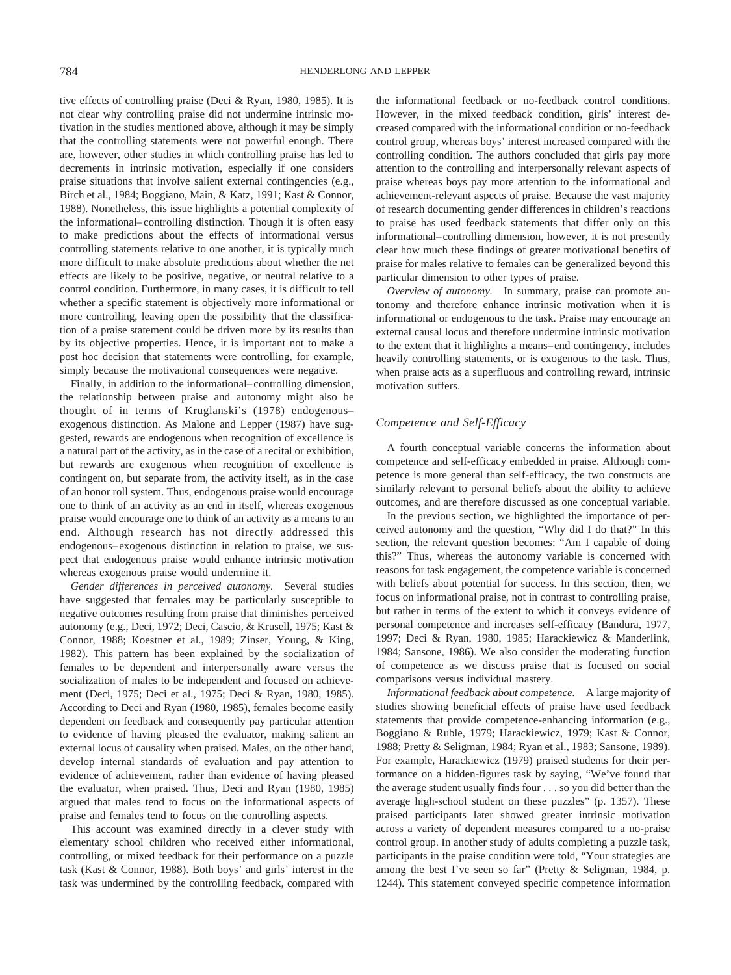tive effects of controlling praise (Deci & Ryan, 1980, 1985). It is not clear why controlling praise did not undermine intrinsic motivation in the studies mentioned above, although it may be simply that the controlling statements were not powerful enough. There are, however, other studies in which controlling praise has led to decrements in intrinsic motivation, especially if one considers praise situations that involve salient external contingencies (e.g., Birch et al., 1984; Boggiano, Main, & Katz, 1991; Kast & Connor, 1988). Nonetheless, this issue highlights a potential complexity of the informational–controlling distinction. Though it is often easy to make predictions about the effects of informational versus controlling statements relative to one another, it is typically much more difficult to make absolute predictions about whether the net effects are likely to be positive, negative, or neutral relative to a control condition. Furthermore, in many cases, it is difficult to tell whether a specific statement is objectively more informational or more controlling, leaving open the possibility that the classification of a praise statement could be driven more by its results than by its objective properties. Hence, it is important not to make a post hoc decision that statements were controlling, for example, simply because the motivational consequences were negative.

Finally, in addition to the informational–controlling dimension, the relationship between praise and autonomy might also be thought of in terms of Kruglanski's (1978) endogenous– exogenous distinction. As Malone and Lepper (1987) have suggested, rewards are endogenous when recognition of excellence is a natural part of the activity, as in the case of a recital or exhibition, but rewards are exogenous when recognition of excellence is contingent on, but separate from, the activity itself, as in the case of an honor roll system. Thus, endogenous praise would encourage one to think of an activity as an end in itself, whereas exogenous praise would encourage one to think of an activity as a means to an end. Although research has not directly addressed this endogenous–exogenous distinction in relation to praise, we suspect that endogenous praise would enhance intrinsic motivation whereas exogenous praise would undermine it.

*Gender differences in perceived autonomy.* Several studies have suggested that females may be particularly susceptible to negative outcomes resulting from praise that diminishes perceived autonomy (e.g., Deci, 1972; Deci, Cascio, & Krusell, 1975; Kast & Connor, 1988; Koestner et al., 1989; Zinser, Young, & King, 1982). This pattern has been explained by the socialization of females to be dependent and interpersonally aware versus the socialization of males to be independent and focused on achievement (Deci, 1975; Deci et al., 1975; Deci & Ryan, 1980, 1985). According to Deci and Ryan (1980, 1985), females become easily dependent on feedback and consequently pay particular attention to evidence of having pleased the evaluator, making salient an external locus of causality when praised. Males, on the other hand, develop internal standards of evaluation and pay attention to evidence of achievement, rather than evidence of having pleased the evaluator, when praised. Thus, Deci and Ryan (1980, 1985) argued that males tend to focus on the informational aspects of praise and females tend to focus on the controlling aspects.

This account was examined directly in a clever study with elementary school children who received either informational, controlling, or mixed feedback for their performance on a puzzle task (Kast & Connor, 1988). Both boys' and girls' interest in the task was undermined by the controlling feedback, compared with the informational feedback or no-feedback control conditions. However, in the mixed feedback condition, girls' interest decreased compared with the informational condition or no-feedback control group, whereas boys' interest increased compared with the controlling condition. The authors concluded that girls pay more attention to the controlling and interpersonally relevant aspects of praise whereas boys pay more attention to the informational and achievement-relevant aspects of praise. Because the vast majority of research documenting gender differences in children's reactions to praise has used feedback statements that differ only on this informational–controlling dimension, however, it is not presently clear how much these findings of greater motivational benefits of praise for males relative to females can be generalized beyond this particular dimension to other types of praise.

*Overview of autonomy.* In summary, praise can promote autonomy and therefore enhance intrinsic motivation when it is informational or endogenous to the task. Praise may encourage an external causal locus and therefore undermine intrinsic motivation to the extent that it highlights a means–end contingency, includes heavily controlling statements, or is exogenous to the task. Thus, when praise acts as a superfluous and controlling reward, intrinsic motivation suffers.

# *Competence and Self-Efficacy*

A fourth conceptual variable concerns the information about competence and self-efficacy embedded in praise. Although competence is more general than self-efficacy, the two constructs are similarly relevant to personal beliefs about the ability to achieve outcomes, and are therefore discussed as one conceptual variable.

In the previous section, we highlighted the importance of perceived autonomy and the question, "Why did I do that?" In this section, the relevant question becomes: "Am I capable of doing this?" Thus, whereas the autonomy variable is concerned with reasons for task engagement, the competence variable is concerned with beliefs about potential for success. In this section, then, we focus on informational praise, not in contrast to controlling praise, but rather in terms of the extent to which it conveys evidence of personal competence and increases self-efficacy (Bandura, 1977, 1997; Deci & Ryan, 1980, 1985; Harackiewicz & Manderlink, 1984; Sansone, 1986). We also consider the moderating function of competence as we discuss praise that is focused on social comparisons versus individual mastery.

*Informational feedback about competence.* A large majority of studies showing beneficial effects of praise have used feedback statements that provide competence-enhancing information (e.g., Boggiano & Ruble, 1979; Harackiewicz, 1979; Kast & Connor, 1988; Pretty & Seligman, 1984; Ryan et al., 1983; Sansone, 1989). For example, Harackiewicz (1979) praised students for their performance on a hidden-figures task by saying, "We've found that the average student usually finds four . . . so you did better than the average high-school student on these puzzles" (p. 1357). These praised participants later showed greater intrinsic motivation across a variety of dependent measures compared to a no-praise control group. In another study of adults completing a puzzle task, participants in the praise condition were told, "Your strategies are among the best I've seen so far" (Pretty & Seligman, 1984, p. 1244). This statement conveyed specific competence information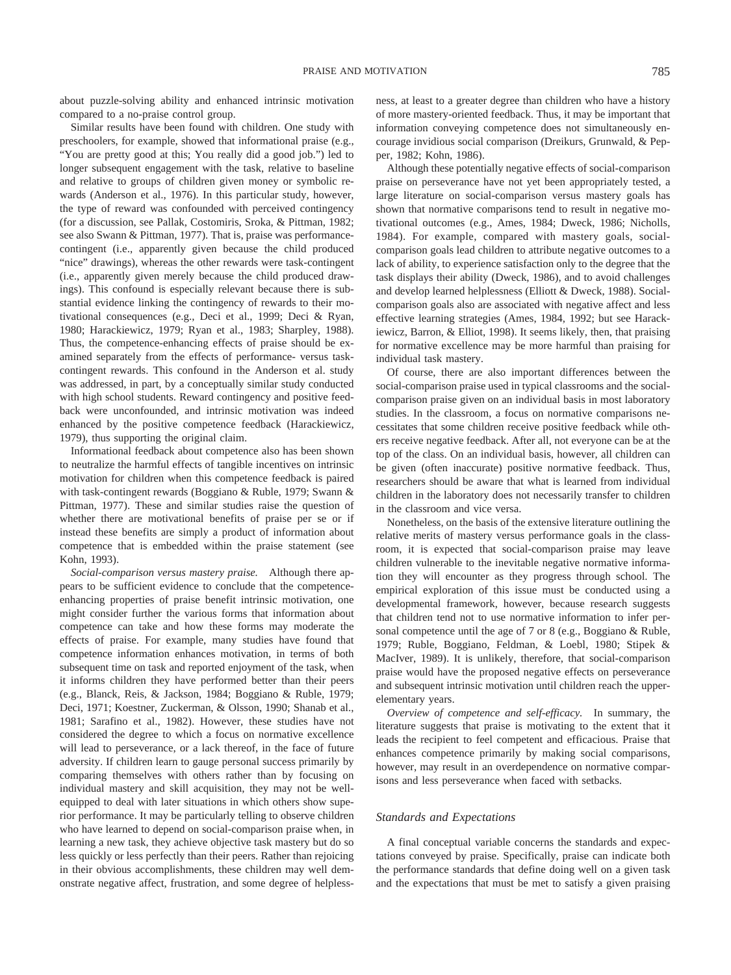about puzzle-solving ability and enhanced intrinsic motivation compared to a no-praise control group.

Similar results have been found with children. One study with preschoolers, for example, showed that informational praise (e.g., "You are pretty good at this; You really did a good job.") led to longer subsequent engagement with the task, relative to baseline and relative to groups of children given money or symbolic rewards (Anderson et al., 1976). In this particular study, however, the type of reward was confounded with perceived contingency (for a discussion, see Pallak, Costomiris, Sroka, & Pittman, 1982; see also Swann & Pittman, 1977). That is, praise was performancecontingent (i.e., apparently given because the child produced "nice" drawings), whereas the other rewards were task-contingent (i.e., apparently given merely because the child produced drawings). This confound is especially relevant because there is substantial evidence linking the contingency of rewards to their motivational consequences (e.g., Deci et al., 1999; Deci & Ryan, 1980; Harackiewicz, 1979; Ryan et al., 1983; Sharpley, 1988). Thus, the competence-enhancing effects of praise should be examined separately from the effects of performance- versus taskcontingent rewards. This confound in the Anderson et al. study was addressed, in part, by a conceptually similar study conducted with high school students. Reward contingency and positive feedback were unconfounded, and intrinsic motivation was indeed enhanced by the positive competence feedback (Harackiewicz, 1979), thus supporting the original claim.

Informational feedback about competence also has been shown to neutralize the harmful effects of tangible incentives on intrinsic motivation for children when this competence feedback is paired with task-contingent rewards (Boggiano & Ruble, 1979; Swann & Pittman, 1977). These and similar studies raise the question of whether there are motivational benefits of praise per se or if instead these benefits are simply a product of information about competence that is embedded within the praise statement (see Kohn, 1993).

*Social-comparison versus mastery praise.* Although there appears to be sufficient evidence to conclude that the competenceenhancing properties of praise benefit intrinsic motivation, one might consider further the various forms that information about competence can take and how these forms may moderate the effects of praise. For example, many studies have found that competence information enhances motivation, in terms of both subsequent time on task and reported enjoyment of the task, when it informs children they have performed better than their peers (e.g., Blanck, Reis, & Jackson, 1984; Boggiano & Ruble, 1979; Deci, 1971; Koestner, Zuckerman, & Olsson, 1990; Shanab et al., 1981; Sarafino et al., 1982). However, these studies have not considered the degree to which a focus on normative excellence will lead to perseverance, or a lack thereof, in the face of future adversity. If children learn to gauge personal success primarily by comparing themselves with others rather than by focusing on individual mastery and skill acquisition, they may not be wellequipped to deal with later situations in which others show superior performance. It may be particularly telling to observe children who have learned to depend on social-comparison praise when, in learning a new task, they achieve objective task mastery but do so less quickly or less perfectly than their peers. Rather than rejoicing in their obvious accomplishments, these children may well demonstrate negative affect, frustration, and some degree of helplessness, at least to a greater degree than children who have a history of more mastery-oriented feedback. Thus, it may be important that information conveying competence does not simultaneously encourage invidious social comparison (Dreikurs, Grunwald, & Pepper, 1982; Kohn, 1986).

Although these potentially negative effects of social-comparison praise on perseverance have not yet been appropriately tested, a large literature on social-comparison versus mastery goals has shown that normative comparisons tend to result in negative motivational outcomes (e.g., Ames, 1984; Dweck, 1986; Nicholls, 1984). For example, compared with mastery goals, socialcomparison goals lead children to attribute negative outcomes to a lack of ability, to experience satisfaction only to the degree that the task displays their ability (Dweck, 1986), and to avoid challenges and develop learned helplessness (Elliott & Dweck, 1988). Socialcomparison goals also are associated with negative affect and less effective learning strategies (Ames, 1984, 1992; but see Harackiewicz, Barron, & Elliot, 1998). It seems likely, then, that praising for normative excellence may be more harmful than praising for individual task mastery.

Of course, there are also important differences between the social-comparison praise used in typical classrooms and the socialcomparison praise given on an individual basis in most laboratory studies. In the classroom, a focus on normative comparisons necessitates that some children receive positive feedback while others receive negative feedback. After all, not everyone can be at the top of the class. On an individual basis, however, all children can be given (often inaccurate) positive normative feedback. Thus, researchers should be aware that what is learned from individual children in the laboratory does not necessarily transfer to children in the classroom and vice versa.

Nonetheless, on the basis of the extensive literature outlining the relative merits of mastery versus performance goals in the classroom, it is expected that social-comparison praise may leave children vulnerable to the inevitable negative normative information they will encounter as they progress through school. The empirical exploration of this issue must be conducted using a developmental framework, however, because research suggests that children tend not to use normative information to infer personal competence until the age of 7 or 8 (e.g., Boggiano & Ruble, 1979; Ruble, Boggiano, Feldman, & Loebl, 1980; Stipek & MacIver, 1989). It is unlikely, therefore, that social-comparison praise would have the proposed negative effects on perseverance and subsequent intrinsic motivation until children reach the upperelementary years.

*Overview of competence and self-efficacy.* In summary, the literature suggests that praise is motivating to the extent that it leads the recipient to feel competent and efficacious. Praise that enhances competence primarily by making social comparisons, however, may result in an overdependence on normative comparisons and less perseverance when faced with setbacks.

# *Standards and Expectations*

A final conceptual variable concerns the standards and expectations conveyed by praise. Specifically, praise can indicate both the performance standards that define doing well on a given task and the expectations that must be met to satisfy a given praising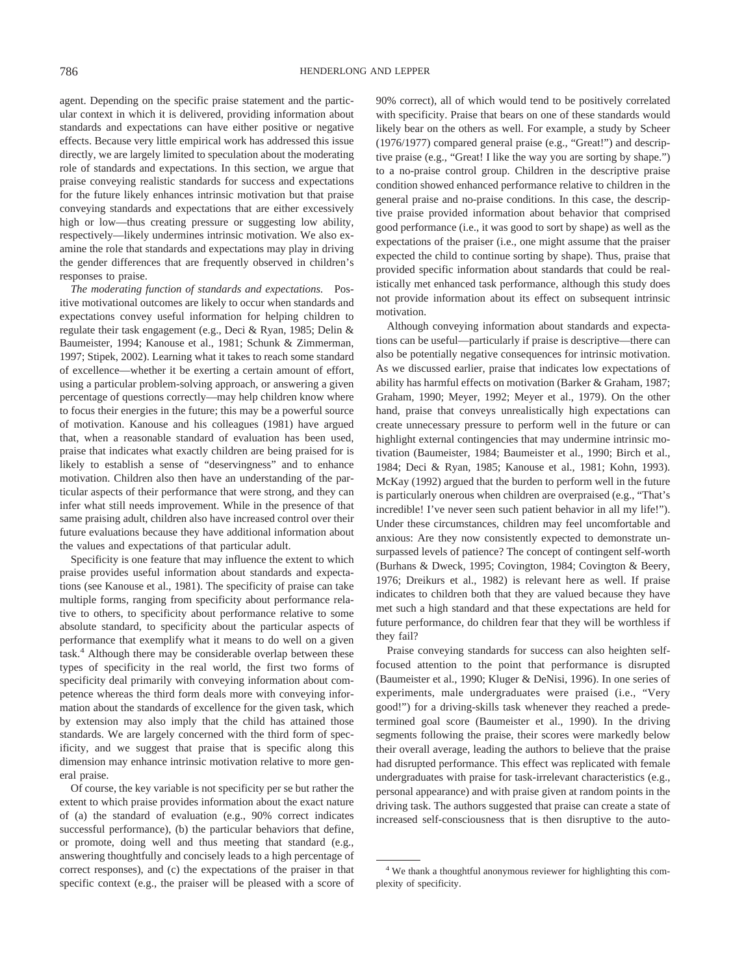agent. Depending on the specific praise statement and the particular context in which it is delivered, providing information about standards and expectations can have either positive or negative effects. Because very little empirical work has addressed this issue directly, we are largely limited to speculation about the moderating role of standards and expectations. In this section, we argue that praise conveying realistic standards for success and expectations for the future likely enhances intrinsic motivation but that praise conveying standards and expectations that are either excessively high or low—thus creating pressure or suggesting low ability, respectively—likely undermines intrinsic motivation. We also examine the role that standards and expectations may play in driving the gender differences that are frequently observed in children's responses to praise.

*The moderating function of standards and expectations.* Positive motivational outcomes are likely to occur when standards and expectations convey useful information for helping children to regulate their task engagement (e.g., Deci & Ryan, 1985; Delin & Baumeister, 1994; Kanouse et al., 1981; Schunk & Zimmerman, 1997; Stipek, 2002). Learning what it takes to reach some standard of excellence—whether it be exerting a certain amount of effort, using a particular problem-solving approach, or answering a given percentage of questions correctly—may help children know where to focus their energies in the future; this may be a powerful source of motivation. Kanouse and his colleagues (1981) have argued that, when a reasonable standard of evaluation has been used, praise that indicates what exactly children are being praised for is likely to establish a sense of "deservingness" and to enhance motivation. Children also then have an understanding of the particular aspects of their performance that were strong, and they can infer what still needs improvement. While in the presence of that same praising adult, children also have increased control over their future evaluations because they have additional information about the values and expectations of that particular adult.

Specificity is one feature that may influence the extent to which praise provides useful information about standards and expectations (see Kanouse et al., 1981). The specificity of praise can take multiple forms, ranging from specificity about performance relative to others, to specificity about performance relative to some absolute standard, to specificity about the particular aspects of performance that exemplify what it means to do well on a given task.<sup>4</sup> Although there may be considerable overlap between these types of specificity in the real world, the first two forms of specificity deal primarily with conveying information about competence whereas the third form deals more with conveying information about the standards of excellence for the given task, which by extension may also imply that the child has attained those standards. We are largely concerned with the third form of specificity, and we suggest that praise that is specific along this dimension may enhance intrinsic motivation relative to more general praise.

Of course, the key variable is not specificity per se but rather the extent to which praise provides information about the exact nature of (a) the standard of evaluation (e.g., 90% correct indicates successful performance), (b) the particular behaviors that define, or promote, doing well and thus meeting that standard (e.g., answering thoughtfully and concisely leads to a high percentage of correct responses), and (c) the expectations of the praiser in that specific context (e.g., the praiser will be pleased with a score of 90% correct), all of which would tend to be positively correlated with specificity. Praise that bears on one of these standards would likely bear on the others as well. For example, a study by Scheer (1976/1977) compared general praise (e.g., "Great!") and descriptive praise (e.g., "Great! I like the way you are sorting by shape.") to a no-praise control group. Children in the descriptive praise condition showed enhanced performance relative to children in the general praise and no-praise conditions. In this case, the descriptive praise provided information about behavior that comprised good performance (i.e., it was good to sort by shape) as well as the expectations of the praiser (i.e., one might assume that the praiser expected the child to continue sorting by shape). Thus, praise that provided specific information about standards that could be realistically met enhanced task performance, although this study does not provide information about its effect on subsequent intrinsic motivation.

Although conveying information about standards and expectations can be useful—particularly if praise is descriptive—there can also be potentially negative consequences for intrinsic motivation. As we discussed earlier, praise that indicates low expectations of ability has harmful effects on motivation (Barker & Graham, 1987; Graham, 1990; Meyer, 1992; Meyer et al., 1979). On the other hand, praise that conveys unrealistically high expectations can create unnecessary pressure to perform well in the future or can highlight external contingencies that may undermine intrinsic motivation (Baumeister, 1984; Baumeister et al., 1990; Birch et al., 1984; Deci & Ryan, 1985; Kanouse et al., 1981; Kohn, 1993). McKay (1992) argued that the burden to perform well in the future is particularly onerous when children are overpraised (e.g., "That's incredible! I've never seen such patient behavior in all my life!"). Under these circumstances, children may feel uncomfortable and anxious: Are they now consistently expected to demonstrate unsurpassed levels of patience? The concept of contingent self-worth (Burhans & Dweck, 1995; Covington, 1984; Covington & Beery, 1976; Dreikurs et al., 1982) is relevant here as well. If praise indicates to children both that they are valued because they have met such a high standard and that these expectations are held for future performance, do children fear that they will be worthless if they fail?

Praise conveying standards for success can also heighten selffocused attention to the point that performance is disrupted (Baumeister et al., 1990; Kluger & DeNisi, 1996). In one series of experiments, male undergraduates were praised (i.e., "Very good!") for a driving-skills task whenever they reached a predetermined goal score (Baumeister et al., 1990). In the driving segments following the praise, their scores were markedly below their overall average, leading the authors to believe that the praise had disrupted performance. This effect was replicated with female undergraduates with praise for task-irrelevant characteristics (e.g., personal appearance) and with praise given at random points in the driving task. The authors suggested that praise can create a state of increased self-consciousness that is then disruptive to the auto-

<sup>4</sup> We thank a thoughtful anonymous reviewer for highlighting this complexity of specificity.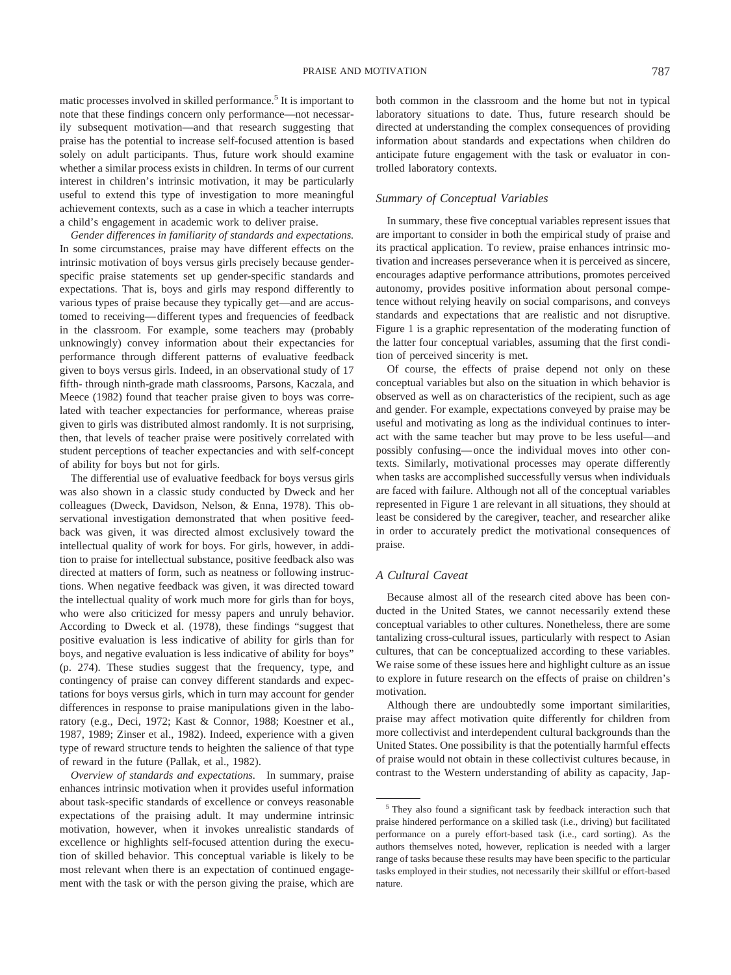matic processes involved in skilled performance.<sup>5</sup> It is important to note that these findings concern only performance—not necessarily subsequent motivation—and that research suggesting that praise has the potential to increase self-focused attention is based solely on adult participants. Thus, future work should examine whether a similar process exists in children. In terms of our current interest in children's intrinsic motivation, it may be particularly useful to extend this type of investigation to more meaningful achievement contexts, such as a case in which a teacher interrupts a child's engagement in academic work to deliver praise.

*Gender differences in familiarity of standards and expectations.* In some circumstances, praise may have different effects on the intrinsic motivation of boys versus girls precisely because genderspecific praise statements set up gender-specific standards and expectations. That is, boys and girls may respond differently to various types of praise because they typically get—and are accustomed to receiving—different types and frequencies of feedback in the classroom. For example, some teachers may (probably unknowingly) convey information about their expectancies for performance through different patterns of evaluative feedback given to boys versus girls. Indeed, in an observational study of 17 fifth- through ninth-grade math classrooms, Parsons, Kaczala, and Meece (1982) found that teacher praise given to boys was correlated with teacher expectancies for performance, whereas praise given to girls was distributed almost randomly. It is not surprising, then, that levels of teacher praise were positively correlated with student perceptions of teacher expectancies and with self-concept of ability for boys but not for girls.

The differential use of evaluative feedback for boys versus girls was also shown in a classic study conducted by Dweck and her colleagues (Dweck, Davidson, Nelson, & Enna, 1978). This observational investigation demonstrated that when positive feedback was given, it was directed almost exclusively toward the intellectual quality of work for boys. For girls, however, in addition to praise for intellectual substance, positive feedback also was directed at matters of form, such as neatness or following instructions. When negative feedback was given, it was directed toward the intellectual quality of work much more for girls than for boys, who were also criticized for messy papers and unruly behavior. According to Dweck et al. (1978), these findings "suggest that positive evaluation is less indicative of ability for girls than for boys, and negative evaluation is less indicative of ability for boys" (p. 274). These studies suggest that the frequency, type, and contingency of praise can convey different standards and expectations for boys versus girls, which in turn may account for gender differences in response to praise manipulations given in the laboratory (e.g., Deci, 1972; Kast & Connor, 1988; Koestner et al., 1987, 1989; Zinser et al., 1982). Indeed, experience with a given type of reward structure tends to heighten the salience of that type of reward in the future (Pallak, et al., 1982).

*Overview of standards and expectations.* In summary, praise enhances intrinsic motivation when it provides useful information about task-specific standards of excellence or conveys reasonable expectations of the praising adult. It may undermine intrinsic motivation, however, when it invokes unrealistic standards of excellence or highlights self-focused attention during the execution of skilled behavior. This conceptual variable is likely to be most relevant when there is an expectation of continued engagement with the task or with the person giving the praise, which are

both common in the classroom and the home but not in typical laboratory situations to date. Thus, future research should be directed at understanding the complex consequences of providing information about standards and expectations when children do anticipate future engagement with the task or evaluator in controlled laboratory contexts.

# *Summary of Conceptual Variables*

In summary, these five conceptual variables represent issues that are important to consider in both the empirical study of praise and its practical application. To review, praise enhances intrinsic motivation and increases perseverance when it is perceived as sincere, encourages adaptive performance attributions, promotes perceived autonomy, provides positive information about personal competence without relying heavily on social comparisons, and conveys standards and expectations that are realistic and not disruptive. Figure 1 is a graphic representation of the moderating function of the latter four conceptual variables, assuming that the first condition of perceived sincerity is met.

Of course, the effects of praise depend not only on these conceptual variables but also on the situation in which behavior is observed as well as on characteristics of the recipient, such as age and gender. For example, expectations conveyed by praise may be useful and motivating as long as the individual continues to interact with the same teacher but may prove to be less useful—and possibly confusing—once the individual moves into other contexts. Similarly, motivational processes may operate differently when tasks are accomplished successfully versus when individuals are faced with failure. Although not all of the conceptual variables represented in Figure 1 are relevant in all situations, they should at least be considered by the caregiver, teacher, and researcher alike in order to accurately predict the motivational consequences of praise.

# *A Cultural Caveat*

Because almost all of the research cited above has been conducted in the United States, we cannot necessarily extend these conceptual variables to other cultures. Nonetheless, there are some tantalizing cross-cultural issues, particularly with respect to Asian cultures, that can be conceptualized according to these variables. We raise some of these issues here and highlight culture as an issue to explore in future research on the effects of praise on children's motivation.

Although there are undoubtedly some important similarities, praise may affect motivation quite differently for children from more collectivist and interdependent cultural backgrounds than the United States. One possibility is that the potentially harmful effects of praise would not obtain in these collectivist cultures because, in contrast to the Western understanding of ability as capacity, Jap-

<sup>5</sup> They also found a significant task by feedback interaction such that praise hindered performance on a skilled task (i.e., driving) but facilitated performance on a purely effort-based task (i.e., card sorting). As the authors themselves noted, however, replication is needed with a larger range of tasks because these results may have been specific to the particular tasks employed in their studies, not necessarily their skillful or effort-based nature.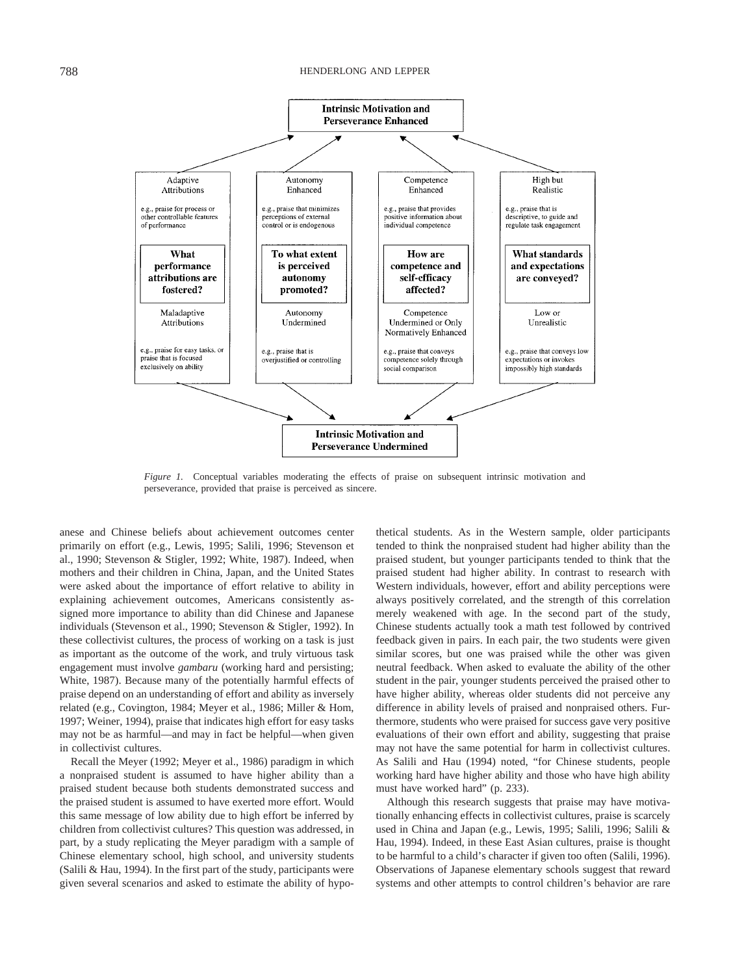

*Figure 1.* Conceptual variables moderating the effects of praise on subsequent intrinsic motivation and perseverance, provided that praise is perceived as sincere.

anese and Chinese beliefs about achievement outcomes center primarily on effort (e.g., Lewis, 1995; Salili, 1996; Stevenson et al., 1990; Stevenson & Stigler, 1992; White, 1987). Indeed, when mothers and their children in China, Japan, and the United States were asked about the importance of effort relative to ability in explaining achievement outcomes, Americans consistently assigned more importance to ability than did Chinese and Japanese individuals (Stevenson et al., 1990; Stevenson & Stigler, 1992). In these collectivist cultures, the process of working on a task is just as important as the outcome of the work, and truly virtuous task engagement must involve *gambaru* (working hard and persisting; White, 1987). Because many of the potentially harmful effects of praise depend on an understanding of effort and ability as inversely related (e.g., Covington, 1984; Meyer et al., 1986; Miller & Hom, 1997; Weiner, 1994), praise that indicates high effort for easy tasks may not be as harmful—and may in fact be helpful—when given in collectivist cultures.

Recall the Meyer (1992; Meyer et al., 1986) paradigm in which a nonpraised student is assumed to have higher ability than a praised student because both students demonstrated success and the praised student is assumed to have exerted more effort. Would this same message of low ability due to high effort be inferred by children from collectivist cultures? This question was addressed, in part, by a study replicating the Meyer paradigm with a sample of Chinese elementary school, high school, and university students (Salili & Hau, 1994). In the first part of the study, participants were given several scenarios and asked to estimate the ability of hypothetical students. As in the Western sample, older participants tended to think the nonpraised student had higher ability than the praised student, but younger participants tended to think that the praised student had higher ability. In contrast to research with Western individuals, however, effort and ability perceptions were always positively correlated, and the strength of this correlation merely weakened with age. In the second part of the study, Chinese students actually took a math test followed by contrived feedback given in pairs. In each pair, the two students were given similar scores, but one was praised while the other was given neutral feedback. When asked to evaluate the ability of the other student in the pair, younger students perceived the praised other to have higher ability, whereas older students did not perceive any difference in ability levels of praised and nonpraised others. Furthermore, students who were praised for success gave very positive evaluations of their own effort and ability, suggesting that praise may not have the same potential for harm in collectivist cultures. As Salili and Hau (1994) noted, "for Chinese students, people working hard have higher ability and those who have high ability must have worked hard" (p. 233).

Although this research suggests that praise may have motivationally enhancing effects in collectivist cultures, praise is scarcely used in China and Japan (e.g., Lewis, 1995; Salili, 1996; Salili & Hau, 1994). Indeed, in these East Asian cultures, praise is thought to be harmful to a child's character if given too often (Salili, 1996). Observations of Japanese elementary schools suggest that reward systems and other attempts to control children's behavior are rare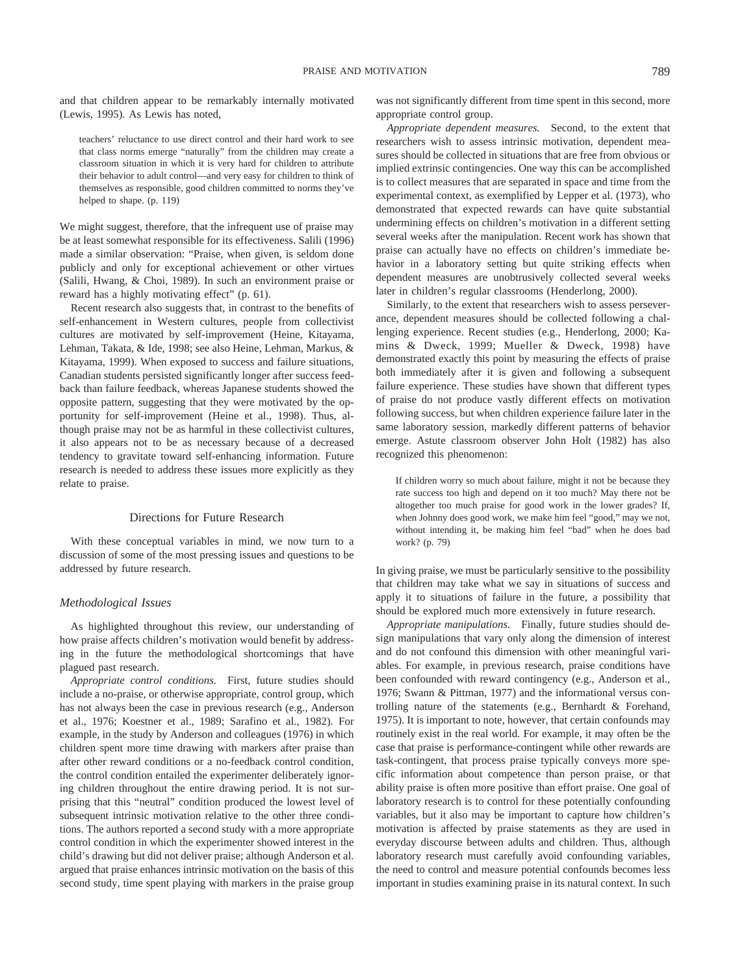and that children appear to be remarkably internally motivated (Lewis, 1995). As Lewis has noted,

teachers' reluctance to use direct control and their hard work to see that class norms emerge "naturally" from the children may create a classroom situation in which it is very hard for children to attribute their behavior to adult control—and very easy for children to think of themselves as responsible, good children committed to norms they've helped to shape. (p. 119)

We might suggest, therefore, that the infrequent use of praise may be at least somewhat responsible for its effectiveness. Salili (1996) made a similar observation: "Praise, when given, is seldom done publicly and only for exceptional achievement or other virtues (Salili, Hwang, & Choi, 1989). In such an environment praise or reward has a highly motivating effect" (p. 61).

Recent research also suggests that, in contrast to the benefits of self-enhancement in Western cultures, people from collectivist cultures are motivated by self-improvement (Heine, Kitayama, Lehman, Takata, & Ide, 1998; see also Heine, Lehman, Markus, & Kitayama, 1999). When exposed to success and failure situations, Canadian students persisted significantly longer after success feedback than failure feedback, whereas Japanese students showed the opposite pattern, suggesting that they were motivated by the opportunity for self-improvement (Heine et al., 1998). Thus, although praise may not be as harmful in these collectivist cultures, it also appears not to be as necessary because of a decreased tendency to gravitate toward self-enhancing information. Future research is needed to address these issues more explicitly as they relate to praise.

#### Directions for Future Research

With these conceptual variables in mind, we now turn to a discussion of some of the most pressing issues and questions to be addressed by future research.

#### *Methodological Issues*

As highlighted throughout this review, our understanding of how praise affects children's motivation would benefit by addressing in the future the methodological shortcomings that have plagued past research.

*Appropriate control conditions.* First, future studies should include a no-praise, or otherwise appropriate, control group, which has not always been the case in previous research (e.g., Anderson et al., 1976; Koestner et al., 1989; Sarafino et al., 1982). For example, in the study by Anderson and colleagues (1976) in which children spent more time drawing with markers after praise than after other reward conditions or a no-feedback control condition, the control condition entailed the experimenter deliberately ignoring children throughout the entire drawing period. It is not surprising that this "neutral" condition produced the lowest level of subsequent intrinsic motivation relative to the other three conditions. The authors reported a second study with a more appropriate control condition in which the experimenter showed interest in the child's drawing but did not deliver praise; although Anderson et al. argued that praise enhances intrinsic motivation on the basis of this second study, time spent playing with markers in the praise group was not significantly different from time spent in this second, more appropriate control group.

*Appropriate dependent measures.* Second, to the extent that researchers wish to assess intrinsic motivation, dependent measures should be collected in situations that are free from obvious or implied extrinsic contingencies. One way this can be accomplished is to collect measures that are separated in space and time from the experimental context, as exemplified by Lepper et al. (1973), who demonstrated that expected rewards can have quite substantial undermining effects on children's motivation in a different setting several weeks after the manipulation. Recent work has shown that praise can actually have no effects on children's immediate behavior in a laboratory setting but quite striking effects when dependent measures are unobtrusively collected several weeks later in children's regular classrooms (Henderlong, 2000).

Similarly, to the extent that researchers wish to assess perseverance, dependent measures should be collected following a challenging experience. Recent studies (e.g., Henderlong, 2000; Kamins & Dweck, 1999; Mueller & Dweck, 1998) have demonstrated exactly this point by measuring the effects of praise both immediately after it is given and following a subsequent failure experience. These studies have shown that different types of praise do not produce vastly different effects on motivation following success, but when children experience failure later in the same laboratory session, markedly different patterns of behavior emerge. Astute classroom observer John Holt (1982) has also recognized this phenomenon:

If children worry so much about failure, might it not be because they rate success too high and depend on it too much? May there not be altogether too much praise for good work in the lower grades? If, when Johnny does good work, we make him feel "good," may we not, without intending it, be making him feel "bad" when he does bad work? (p. 79)

In giving praise, we must be particularly sensitive to the possibility that children may take what we say in situations of success and apply it to situations of failure in the future, a possibility that should be explored much more extensively in future research.

*Appropriate manipulations.* Finally, future studies should design manipulations that vary only along the dimension of interest and do not confound this dimension with other meaningful variables. For example, in previous research, praise conditions have been confounded with reward contingency (e.g., Anderson et al., 1976; Swann & Pittman, 1977) and the informational versus controlling nature of the statements (e.g., Bernhardt & Forehand, 1975). It is important to note, however, that certain confounds may routinely exist in the real world. For example, it may often be the case that praise is performance-contingent while other rewards are task-contingent, that process praise typically conveys more specific information about competence than person praise, or that ability praise is often more positive than effort praise. One goal of laboratory research is to control for these potentially confounding variables, but it also may be important to capture how children's motivation is affected by praise statements as they are used in everyday discourse between adults and children. Thus, although laboratory research must carefully avoid confounding variables, the need to control and measure potential confounds becomes less important in studies examining praise in its natural context. In such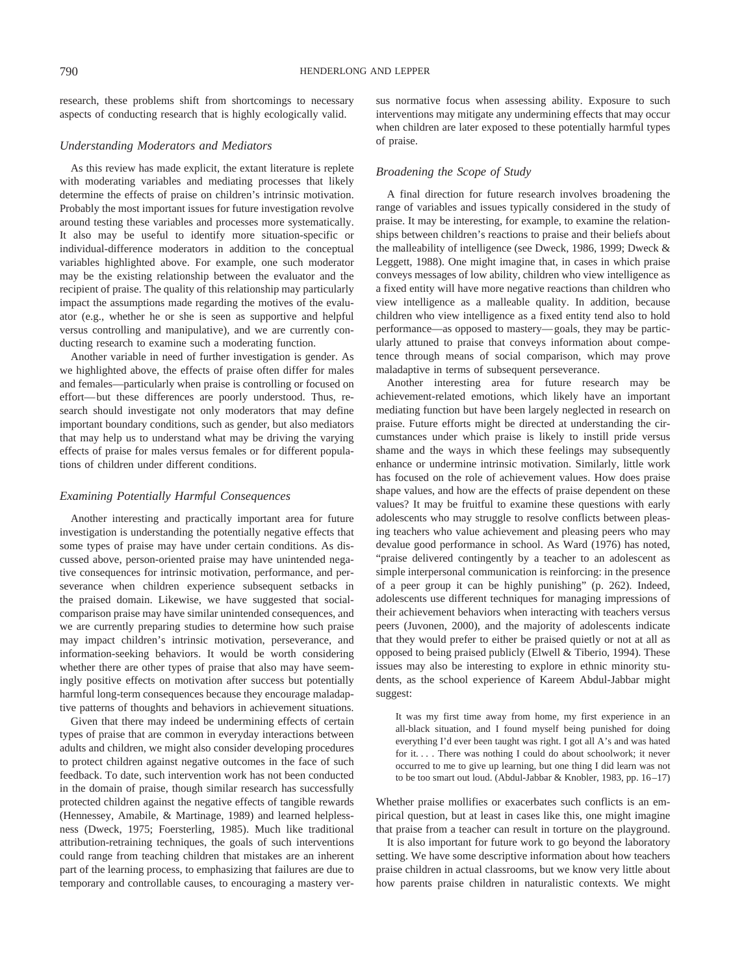research, these problems shift from shortcomings to necessary aspects of conducting research that is highly ecologically valid.

### *Understanding Moderators and Mediators*

As this review has made explicit, the extant literature is replete with moderating variables and mediating processes that likely determine the effects of praise on children's intrinsic motivation. Probably the most important issues for future investigation revolve around testing these variables and processes more systematically. It also may be useful to identify more situation-specific or individual-difference moderators in addition to the conceptual variables highlighted above. For example, one such moderator may be the existing relationship between the evaluator and the recipient of praise. The quality of this relationship may particularly impact the assumptions made regarding the motives of the evaluator (e.g., whether he or she is seen as supportive and helpful versus controlling and manipulative), and we are currently conducting research to examine such a moderating function.

Another variable in need of further investigation is gender. As we highlighted above, the effects of praise often differ for males and females—particularly when praise is controlling or focused on effort—but these differences are poorly understood. Thus, research should investigate not only moderators that may define important boundary conditions, such as gender, but also mediators that may help us to understand what may be driving the varying effects of praise for males versus females or for different populations of children under different conditions.

#### *Examining Potentially Harmful Consequences*

Another interesting and practically important area for future investigation is understanding the potentially negative effects that some types of praise may have under certain conditions. As discussed above, person-oriented praise may have unintended negative consequences for intrinsic motivation, performance, and perseverance when children experience subsequent setbacks in the praised domain. Likewise, we have suggested that socialcomparison praise may have similar unintended consequences, and we are currently preparing studies to determine how such praise may impact children's intrinsic motivation, perseverance, and information-seeking behaviors. It would be worth considering whether there are other types of praise that also may have seemingly positive effects on motivation after success but potentially harmful long-term consequences because they encourage maladaptive patterns of thoughts and behaviors in achievement situations.

Given that there may indeed be undermining effects of certain types of praise that are common in everyday interactions between adults and children, we might also consider developing procedures to protect children against negative outcomes in the face of such feedback. To date, such intervention work has not been conducted in the domain of praise, though similar research has successfully protected children against the negative effects of tangible rewards (Hennessey, Amabile, & Martinage, 1989) and learned helplessness (Dweck, 1975; Foersterling, 1985). Much like traditional attribution-retraining techniques, the goals of such interventions could range from teaching children that mistakes are an inherent part of the learning process, to emphasizing that failures are due to temporary and controllable causes, to encouraging a mastery versus normative focus when assessing ability. Exposure to such interventions may mitigate any undermining effects that may occur when children are later exposed to these potentially harmful types of praise.

# *Broadening the Scope of Study*

A final direction for future research involves broadening the range of variables and issues typically considered in the study of praise. It may be interesting, for example, to examine the relationships between children's reactions to praise and their beliefs about the malleability of intelligence (see Dweck, 1986, 1999; Dweck & Leggett, 1988). One might imagine that, in cases in which praise conveys messages of low ability, children who view intelligence as a fixed entity will have more negative reactions than children who view intelligence as a malleable quality. In addition, because children who view intelligence as a fixed entity tend also to hold performance—as opposed to mastery—goals, they may be particularly attuned to praise that conveys information about competence through means of social comparison, which may prove maladaptive in terms of subsequent perseverance.

Another interesting area for future research may be achievement-related emotions, which likely have an important mediating function but have been largely neglected in research on praise. Future efforts might be directed at understanding the circumstances under which praise is likely to instill pride versus shame and the ways in which these feelings may subsequently enhance or undermine intrinsic motivation. Similarly, little work has focused on the role of achievement values. How does praise shape values, and how are the effects of praise dependent on these values? It may be fruitful to examine these questions with early adolescents who may struggle to resolve conflicts between pleasing teachers who value achievement and pleasing peers who may devalue good performance in school. As Ward (1976) has noted, "praise delivered contingently by a teacher to an adolescent as simple interpersonal communication is reinforcing: in the presence of a peer group it can be highly punishing" (p. 262). Indeed, adolescents use different techniques for managing impressions of their achievement behaviors when interacting with teachers versus peers (Juvonen, 2000), and the majority of adolescents indicate that they would prefer to either be praised quietly or not at all as opposed to being praised publicly (Elwell & Tiberio, 1994). These issues may also be interesting to explore in ethnic minority students, as the school experience of Kareem Abdul-Jabbar might suggest:

It was my first time away from home, my first experience in an all-black situation, and I found myself being punished for doing everything I'd ever been taught was right. I got all A's and was hated for it. . . . There was nothing I could do about schoolwork; it never occurred to me to give up learning, but one thing I did learn was not to be too smart out loud. (Abdul-Jabbar & Knobler, 1983, pp. 16–17)

Whether praise mollifies or exacerbates such conflicts is an empirical question, but at least in cases like this, one might imagine that praise from a teacher can result in torture on the playground.

It is also important for future work to go beyond the laboratory setting. We have some descriptive information about how teachers praise children in actual classrooms, but we know very little about how parents praise children in naturalistic contexts. We might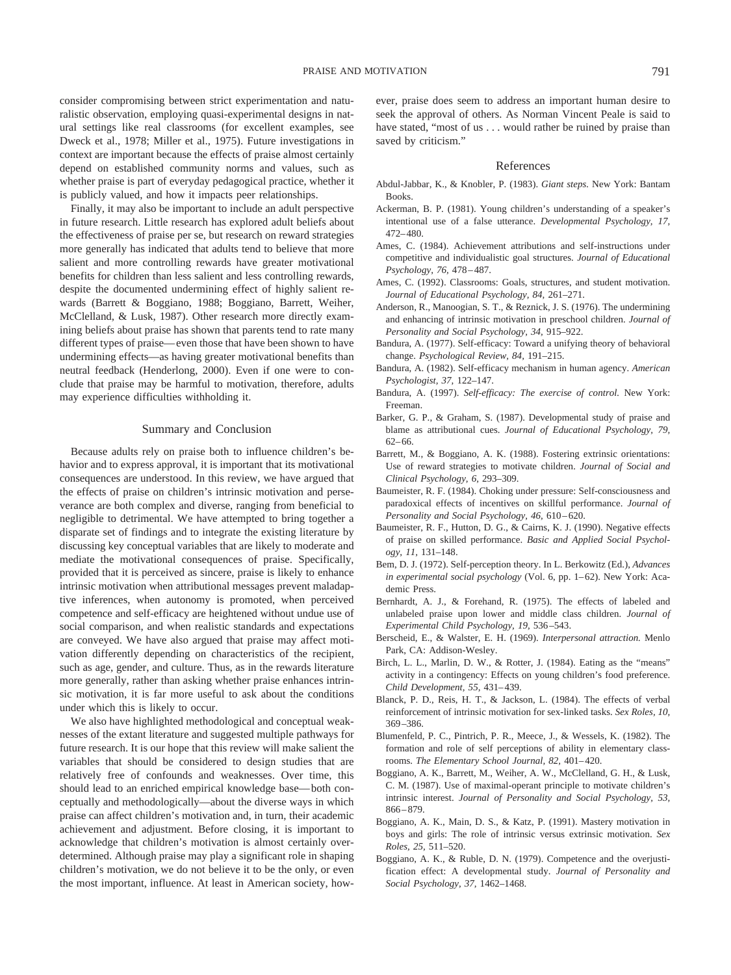consider compromising between strict experimentation and naturalistic observation, employing quasi-experimental designs in natural settings like real classrooms (for excellent examples, see Dweck et al., 1978; Miller et al., 1975). Future investigations in context are important because the effects of praise almost certainly depend on established community norms and values, such as whether praise is part of everyday pedagogical practice, whether it is publicly valued, and how it impacts peer relationships.

Finally, it may also be important to include an adult perspective in future research. Little research has explored adult beliefs about the effectiveness of praise per se, but research on reward strategies more generally has indicated that adults tend to believe that more salient and more controlling rewards have greater motivational benefits for children than less salient and less controlling rewards, despite the documented undermining effect of highly salient rewards (Barrett & Boggiano, 1988; Boggiano, Barrett, Weiher, McClelland, & Lusk, 1987). Other research more directly examining beliefs about praise has shown that parents tend to rate many different types of praise—even those that have been shown to have undermining effects—as having greater motivational benefits than neutral feedback (Henderlong, 2000). Even if one were to conclude that praise may be harmful to motivation, therefore, adults may experience difficulties withholding it.

#### Summary and Conclusion

Because adults rely on praise both to influence children's behavior and to express approval, it is important that its motivational consequences are understood. In this review, we have argued that the effects of praise on children's intrinsic motivation and perseverance are both complex and diverse, ranging from beneficial to negligible to detrimental. We have attempted to bring together a disparate set of findings and to integrate the existing literature by discussing key conceptual variables that are likely to moderate and mediate the motivational consequences of praise. Specifically, provided that it is perceived as sincere, praise is likely to enhance intrinsic motivation when attributional messages prevent maladaptive inferences, when autonomy is promoted, when perceived competence and self-efficacy are heightened without undue use of social comparison, and when realistic standards and expectations are conveyed. We have also argued that praise may affect motivation differently depending on characteristics of the recipient, such as age, gender, and culture. Thus, as in the rewards literature more generally, rather than asking whether praise enhances intrinsic motivation, it is far more useful to ask about the conditions under which this is likely to occur.

We also have highlighted methodological and conceptual weaknesses of the extant literature and suggested multiple pathways for future research. It is our hope that this review will make salient the variables that should be considered to design studies that are relatively free of confounds and weaknesses. Over time, this should lead to an enriched empirical knowledge base—both conceptually and methodologically—about the diverse ways in which praise can affect children's motivation and, in turn, their academic achievement and adjustment. Before closing, it is important to acknowledge that children's motivation is almost certainly overdetermined. Although praise may play a significant role in shaping children's motivation, we do not believe it to be the only, or even the most important, influence. At least in American society, however, praise does seem to address an important human desire to seek the approval of others. As Norman Vincent Peale is said to have stated, "most of us . . . would rather be ruined by praise than saved by criticism."

#### References

- Abdul-Jabbar, K., & Knobler, P. (1983). *Giant steps.* New York: Bantam Books.
- Ackerman, B. P. (1981). Young children's understanding of a speaker's intentional use of a false utterance. *Developmental Psychology, 17,* 472–480.
- Ames, C. (1984). Achievement attributions and self-instructions under competitive and individualistic goal structures. *Journal of Educational Psychology, 76,* 478–487.
- Ames, C. (1992). Classrooms: Goals, structures, and student motivation. *Journal of Educational Psychology, 84,* 261–271.
- Anderson, R., Manoogian, S. T., & Reznick, J. S. (1976). The undermining and enhancing of intrinsic motivation in preschool children. *Journal of Personality and Social Psychology, 34,* 915–922.
- Bandura, A. (1977). Self-efficacy: Toward a unifying theory of behavioral change. *Psychological Review, 84,* 191–215.
- Bandura, A. (1982). Self-efficacy mechanism in human agency. *American Psychologist, 37,* 122–147.
- Bandura, A. (1997). *Self-efficacy: The exercise of control.* New York: Freeman.
- Barker, G. P., & Graham, S. (1987). Developmental study of praise and blame as attributional cues. *Journal of Educational Psychology, 79,* 62–66.
- Barrett, M., & Boggiano, A. K. (1988). Fostering extrinsic orientations: Use of reward strategies to motivate children. *Journal of Social and Clinical Psychology, 6,* 293–309.
- Baumeister, R. F. (1984). Choking under pressure: Self-consciousness and paradoxical effects of incentives on skillful performance. *Journal of Personality and Social Psychology, 46,* 610–620.
- Baumeister, R. F., Hutton, D. G., & Cairns, K. J. (1990). Negative effects of praise on skilled performance. *Basic and Applied Social Psychology, 11,* 131–148.
- Bem, D. J. (1972). Self-perception theory. In L. Berkowitz (Ed.), *Advances in experimental social psychology* (Vol. 6, pp. 1–62). New York: Academic Press.
- Bernhardt, A. J., & Forehand, R. (1975). The effects of labeled and unlabeled praise upon lower and middle class children. *Journal of Experimental Child Psychology, 19,* 536–543.
- Berscheid, E., & Walster, E. H. (1969). *Interpersonal attraction.* Menlo Park, CA: Addison-Wesley.
- Birch, L. L., Marlin, D. W., & Rotter, J. (1984). Eating as the "means" activity in a contingency: Effects on young children's food preference. *Child Development, 55,* 431–439.
- Blanck, P. D., Reis, H. T., & Jackson, L. (1984). The effects of verbal reinforcement of intrinsic motivation for sex-linked tasks. *Sex Roles, 10,* 369–386.
- Blumenfeld, P. C., Pintrich, P. R., Meece, J., & Wessels, K. (1982). The formation and role of self perceptions of ability in elementary classrooms. *The Elementary School Journal, 82,* 401–420.
- Boggiano, A. K., Barrett, M., Weiher, A. W., McClelland, G. H., & Lusk, C. M. (1987). Use of maximal-operant principle to motivate children's intrinsic interest. *Journal of Personality and Social Psychology, 53,* 866–879.
- Boggiano, A. K., Main, D. S., & Katz, P. (1991). Mastery motivation in boys and girls: The role of intrinsic versus extrinsic motivation. *Sex Roles, 25,* 511–520.
- Boggiano, A. K., & Ruble, D. N. (1979). Competence and the overjustification effect: A developmental study. *Journal of Personality and Social Psychology, 37,* 1462–1468.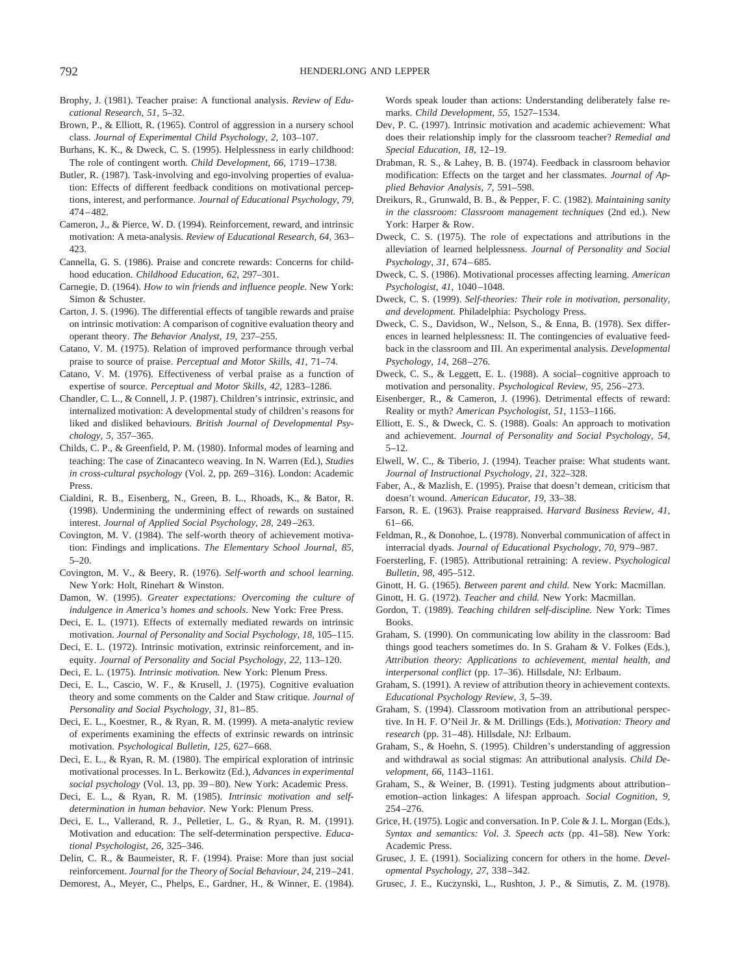- Brophy, J. (1981). Teacher praise: A functional analysis. *Review of Educational Research, 51,* 5–32.
- Brown, P., & Elliott, R. (1965). Control of aggression in a nursery school class. *Journal of Experimental Child Psychology, 2,* 103–107.
- Burhans, K. K., & Dweck, C. S. (1995). Helplessness in early childhood: The role of contingent worth. *Child Development, 66,* 1719–1738.
- Butler, R. (1987). Task-involving and ego-involving properties of evaluation: Effects of different feedback conditions on motivational perceptions, interest, and performance. *Journal of Educational Psychology, 79,* 474–482.
- Cameron, J., & Pierce, W. D. (1994). Reinforcement, reward, and intrinsic motivation: A meta-analysis. *Review of Educational Research, 64,* 363– 423.
- Cannella, G. S. (1986). Praise and concrete rewards: Concerns for childhood education. *Childhood Education, 62,* 297–301.
- Carnegie, D. (1964). *How to win friends and influence people.* New York: Simon & Schuster.
- Carton, J. S. (1996). The differential effects of tangible rewards and praise on intrinsic motivation: A comparison of cognitive evaluation theory and operant theory. *The Behavior Analyst, 19,* 237–255.
- Catano, V. M. (1975). Relation of improved performance through verbal praise to source of praise. *Perceptual and Motor Skills, 41,* 71–74.
- Catano, V. M. (1976). Effectiveness of verbal praise as a function of expertise of source. *Perceptual and Motor Skills, 42,* 1283–1286.
- Chandler, C. L., & Connell, J. P. (1987). Children's intrinsic, extrinsic, and internalized motivation: A developmental study of children's reasons for liked and disliked behaviours. *British Journal of Developmental Psychology, 5,* 357–365.
- Childs, C. P., & Greenfield, P. M. (1980). Informal modes of learning and teaching: The case of Zinacanteco weaving. In N. Warren (Ed.), *Studies in cross-cultural psychology* (Vol. 2, pp. 269–316). London: Academic Press.
- Cialdini, R. B., Eisenberg, N., Green, B. L., Rhoads, K., & Bator, R. (1998). Undermining the undermining effect of rewards on sustained interest. *Journal of Applied Social Psychology, 28,* 249–263.
- Covington, M. V. (1984). The self-worth theory of achievement motivation: Findings and implications. *The Elementary School Journal, 85,* 5–20.
- Covington, M. V., & Beery, R. (1976). *Self-worth and school learning.* New York: Holt, Rinehart & Winston.
- Damon, W. (1995). *Greater expectations: Overcoming the culture of indulgence in America's homes and schools.* New York: Free Press.
- Deci, E. L. (1971). Effects of externally mediated rewards on intrinsic motivation. *Journal of Personality and Social Psychology, 18,* 105–115.
- Deci, E. L. (1972). Intrinsic motivation, extrinsic reinforcement, and inequity. *Journal of Personality and Social Psychology, 22,* 113–120.
- Deci, E. L. (1975). *Intrinsic motivation.* New York: Plenum Press.
- Deci, E. L., Cascio, W. F., & Krusell, J. (1975). Cognitive evaluation theory and some comments on the Calder and Staw critique. *Journal of Personality and Social Psychology, 31,* 81–85.
- Deci, E. L., Koestner, R., & Ryan, R. M. (1999). A meta-analytic review of experiments examining the effects of extrinsic rewards on intrinsic motivation. *Psychological Bulletin, 125,* 627–668.
- Deci, E. L., & Ryan, R. M. (1980). The empirical exploration of intrinsic motivational processes. In L. Berkowitz (Ed.), *Advances in experimental social psychology* (Vol. 13, pp. 39–80). New York: Academic Press.
- Deci, E. L., & Ryan, R. M. (1985). *Intrinsic motivation and selfdetermination in human behavior.* New York: Plenum Press.
- Deci, E. L., Vallerand, R. J., Pelletier, L. G., & Ryan, R. M. (1991). Motivation and education: The self-determination perspective. *Educational Psychologist, 26,* 325–346.
- Delin, C. R., & Baumeister, R. F. (1994). Praise: More than just social reinforcement. *Journal for the Theory of Social Behaviour, 24,* 219–241.
- Demorest, A., Meyer, C., Phelps, E., Gardner, H., & Winner, E. (1984).

Words speak louder than actions: Understanding deliberately false remarks. *Child Development, 55,* 1527–1534.

- Dev, P. C. (1997). Intrinsic motivation and academic achievement: What does their relationship imply for the classroom teacher? *Remedial and Special Education, 18,* 12–19.
- Drabman, R. S., & Lahey, B. B. (1974). Feedback in classroom behavior modification: Effects on the target and her classmates. *Journal of Applied Behavior Analysis, 7,* 591–598.
- Dreikurs, R., Grunwald, B. B., & Pepper, F. C. (1982). *Maintaining sanity in the classroom: Classroom management techniques* (2nd ed.). New York: Harper & Row.
- Dweck, C. S. (1975). The role of expectations and attributions in the alleviation of learned helplessness. *Journal of Personality and Social Psychology, 31,* 674–685.
- Dweck, C. S. (1986). Motivational processes affecting learning. *American Psychologist, 41,* 1040–1048.
- Dweck, C. S. (1999). *Self-theories: Their role in motivation, personality, and development.* Philadelphia: Psychology Press.
- Dweck, C. S., Davidson, W., Nelson, S., & Enna, B. (1978). Sex differences in learned helplessness: II. The contingencies of evaluative feedback in the classroom and III. An experimental analysis. *Developmental Psychology, 14,* 268–276.
- Dweck, C. S., & Leggett, E. L. (1988). A social–cognitive approach to motivation and personality. *Psychological Review, 95,* 256–273.
- Eisenberger, R., & Cameron, J. (1996). Detrimental effects of reward: Reality or myth? *American Psychologist, 51,* 1153–1166.
- Elliott, E. S., & Dweck, C. S. (1988). Goals: An approach to motivation and achievement. *Journal of Personality and Social Psychology, 54,* 5–12.
- Elwell, W. C., & Tiberio, J. (1994). Teacher praise: What students want. *Journal of Instructional Psychology, 21,* 322–328.
- Faber, A., & Mazlish, E. (1995). Praise that doesn't demean, criticism that doesn't wound. *American Educator, 19,* 33–38.
- Farson, R. E. (1963). Praise reappraised. *Harvard Business Review, 41,* 61–66.
- Feldman, R., & Donohoe, L. (1978). Nonverbal communication of affect in interracial dyads. *Journal of Educational Psychology, 70,* 979–987.
- Foersterling, F. (1985). Attributional retraining: A review. *Psychological Bulletin, 98,* 495–512.
- Ginott, H. G. (1965). *Between parent and child.* New York: Macmillan.
- Ginott, H. G. (1972). *Teacher and child.* New York: Macmillan.
- Gordon, T. (1989). *Teaching children self-discipline.* New York: Times Books.
- Graham, S. (1990). On communicating low ability in the classroom: Bad things good teachers sometimes do. In S. Graham & V. Folkes (Eds.), *Attribution theory: Applications to achievement, mental health, and interpersonal conflict* (pp. 17–36). Hillsdale, NJ: Erlbaum.
- Graham, S. (1991). A review of attribution theory in achievement contexts. *Educational Psychology Review, 3,* 5–39.
- Graham, S. (1994). Classroom motivation from an attributional perspective. In H. F. O'Neil Jr. & M. Drillings (Eds.), *Motivation: Theory and research* (pp. 31–48). Hillsdale, NJ: Erlbaum.
- Graham, S., & Hoehn, S. (1995). Children's understanding of aggression and withdrawal as social stigmas: An attributional analysis. *Child Development, 66,* 1143–1161.
- Graham, S., & Weiner, B. (1991). Testing judgments about attribution– emotion–action linkages: A lifespan approach. *Social Cognition, 9,* 254–276.
- Grice, H. (1975). Logic and conversation. In P. Cole & J. L. Morgan (Eds.), *Syntax and semantics: Vol. 3. Speech acts* (pp. 41–58). New York: Academic Press.
- Grusec, J. E. (1991). Socializing concern for others in the home. *Developmental Psychology, 27,* 338–342.
- Grusec, J. E., Kuczynski, L., Rushton, J. P., & Simutis, Z. M. (1978).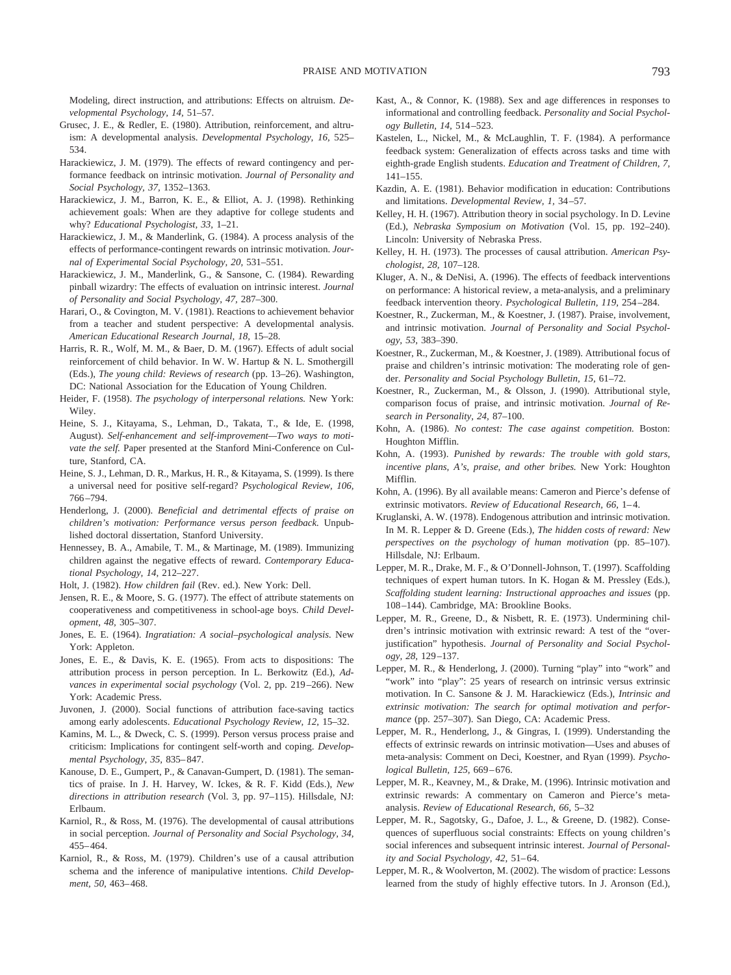Modeling, direct instruction, and attributions: Effects on altruism. *Developmental Psychology, 14,* 51–57.

- Grusec, J. E., & Redler, E. (1980). Attribution, reinforcement, and altruism: A developmental analysis. *Developmental Psychology, 16,* 525– 534.
- Harackiewicz, J. M. (1979). The effects of reward contingency and performance feedback on intrinsic motivation. *Journal of Personality and Social Psychology, 37,* 1352–1363.
- Harackiewicz, J. M., Barron, K. E., & Elliot, A. J. (1998). Rethinking achievement goals: When are they adaptive for college students and why? *Educational Psychologist, 33,* 1–21.
- Harackiewicz, J. M., & Manderlink, G. (1984). A process analysis of the effects of performance-contingent rewards on intrinsic motivation. *Journal of Experimental Social Psychology, 20,* 531–551.
- Harackiewicz, J. M., Manderlink, G., & Sansone, C. (1984). Rewarding pinball wizardry: The effects of evaluation on intrinsic interest. *Journal of Personality and Social Psychology, 47,* 287–300.
- Harari, O., & Covington, M. V. (1981). Reactions to achievement behavior from a teacher and student perspective: A developmental analysis. *American Educational Research Journal, 18,* 15–28.
- Harris, R. R., Wolf, M. M., & Baer, D. M. (1967). Effects of adult social reinforcement of child behavior. In W. W. Hartup & N. L. Smothergill (Eds.), *The young child: Reviews of research* (pp. 13–26). Washington, DC: National Association for the Education of Young Children.
- Heider, F. (1958). *The psychology of interpersonal relations.* New York: Wiley.
- Heine, S. J., Kitayama, S., Lehman, D., Takata, T., & Ide, E. (1998, August). *Self-enhancement and self-improvement—Two ways to motivate the self.* Paper presented at the Stanford Mini-Conference on Culture, Stanford, CA.
- Heine, S. J., Lehman, D. R., Markus, H. R., & Kitayama, S. (1999). Is there a universal need for positive self-regard? *Psychological Review, 106,* 766–794.
- Henderlong, J. (2000). *Beneficial and detrimental effects of praise on children's motivation: Performance versus person feedback.* Unpublished doctoral dissertation, Stanford University.
- Hennessey, B. A., Amabile, T. M., & Martinage, M. (1989). Immunizing children against the negative effects of reward. *Contemporary Educational Psychology, 14,* 212–227.
- Holt, J. (1982). *How children fail* (Rev. ed.). New York: Dell.
- Jensen, R. E., & Moore, S. G. (1977). The effect of attribute statements on cooperativeness and competitiveness in school-age boys. *Child Development, 48,* 305–307.
- Jones, E. E. (1964). *Ingratiation: A social–psychological analysis.* New York: Appleton.
- Jones, E. E., & Davis, K. E. (1965). From acts to dispositions: The attribution process in person perception. In L. Berkowitz (Ed.), *Advances in experimental social psychology* (Vol. 2, pp. 219–266). New York: Academic Press.
- Juvonen, J. (2000). Social functions of attribution face-saving tactics among early adolescents. *Educational Psychology Review, 12,* 15–32.
- Kamins, M. L., & Dweck, C. S. (1999). Person versus process praise and criticism: Implications for contingent self-worth and coping. *Developmental Psychology, 35,* 835–847.
- Kanouse, D. E., Gumpert, P., & Canavan-Gumpert, D. (1981). The semantics of praise. In J. H. Harvey, W. Ickes, & R. F. Kidd (Eds.), *New directions in attribution research* (Vol. 3, pp. 97–115). Hillsdale, NJ: Erlbaum.
- Karniol, R., & Ross, M. (1976). The developmental of causal attributions in social perception. *Journal of Personality and Social Psychology, 34,* 455–464.
- Karniol, R., & Ross, M. (1979). Children's use of a causal attribution schema and the inference of manipulative intentions. *Child Development, 50,* 463–468.
- Kast, A., & Connor, K. (1988). Sex and age differences in responses to informational and controlling feedback. *Personality and Social Psychology Bulletin, 14,* 514–523.
- Kastelen, L., Nickel, M., & McLaughlin, T. F. (1984). A performance feedback system: Generalization of effects across tasks and time with eighth-grade English students. *Education and Treatment of Children, 7,* 141–155.
- Kazdin, A. E. (1981). Behavior modification in education: Contributions and limitations. *Developmental Review, 1,* 34–57.
- Kelley, H. H. (1967). Attribution theory in social psychology. In D. Levine (Ed.), *Nebraska Symposium on Motivation* (Vol. 15, pp. 192–240). Lincoln: University of Nebraska Press.
- Kelley, H. H. (1973). The processes of causal attribution. *American Psychologist, 28,* 107–128.
- Kluger, A. N., & DeNisi, A. (1996). The effects of feedback interventions on performance: A historical review, a meta-analysis, and a preliminary feedback intervention theory. *Psychological Bulletin, 119,* 254–284.
- Koestner, R., Zuckerman, M., & Koestner, J. (1987). Praise, involvement, and intrinsic motivation. *Journal of Personality and Social Psychology, 53,* 383–390.
- Koestner, R., Zuckerman, M., & Koestner, J. (1989). Attributional focus of praise and children's intrinsic motivation: The moderating role of gender. *Personality and Social Psychology Bulletin, 15,* 61–72.
- Koestner, R., Zuckerman, M., & Olsson, J. (1990). Attributional style, comparison focus of praise, and intrinsic motivation. *Journal of Research in Personality, 24,* 87–100.
- Kohn, A. (1986). *No contest: The case against competition.* Boston: Houghton Mifflin.
- Kohn, A. (1993). *Punished by rewards: The trouble with gold stars, incentive plans, A's, praise, and other bribes.* New York: Houghton Mifflin.
- Kohn, A. (1996). By all available means: Cameron and Pierce's defense of extrinsic motivators. *Review of Educational Research, 66,* 1–4.
- Kruglanski, A. W. (1978). Endogenous attribution and intrinsic motivation. In M. R. Lepper & D. Greene (Eds.), *The hidden costs of reward: New perspectives on the psychology of human motivation* (pp. 85–107). Hillsdale, NJ: Erlbaum.
- Lepper, M. R., Drake, M. F., & O'Donnell-Johnson, T. (1997). Scaffolding techniques of expert human tutors. In K. Hogan & M. Pressley (Eds.), *Scaffolding student learning: Instructional approaches and issues* (pp. 108–144). Cambridge, MA: Brookline Books.
- Lepper, M. R., Greene, D., & Nisbett, R. E. (1973). Undermining children's intrinsic motivation with extrinsic reward: A test of the "overjustification" hypothesis. *Journal of Personality and Social Psychology, 28,* 129–137.
- Lepper, M. R., & Henderlong, J. (2000). Turning "play" into "work" and "work" into "play": 25 years of research on intrinsic versus extrinsic motivation. In C. Sansone & J. M. Harackiewicz (Eds.), *Intrinsic and extrinsic motivation: The search for optimal motivation and performance* (pp. 257–307). San Diego, CA: Academic Press.
- Lepper, M. R., Henderlong, J., & Gingras, I. (1999). Understanding the effects of extrinsic rewards on intrinsic motivation—Uses and abuses of meta-analysis: Comment on Deci, Koestner, and Ryan (1999). *Psychological Bulletin, 125,* 669–676.
- Lepper, M. R., Keavney, M., & Drake, M. (1996). Intrinsic motivation and extrinsic rewards: A commentary on Cameron and Pierce's metaanalysis. *Review of Educational Research, 66,* 5–32
- Lepper, M. R., Sagotsky, G., Dafoe, J. L., & Greene, D. (1982). Consequences of superfluous social constraints: Effects on young children's social inferences and subsequent intrinsic interest. *Journal of Personality and Social Psychology, 42,* 51–64.
- Lepper, M. R., & Woolverton, M. (2002). The wisdom of practice: Lessons learned from the study of highly effective tutors. In J. Aronson (Ed.),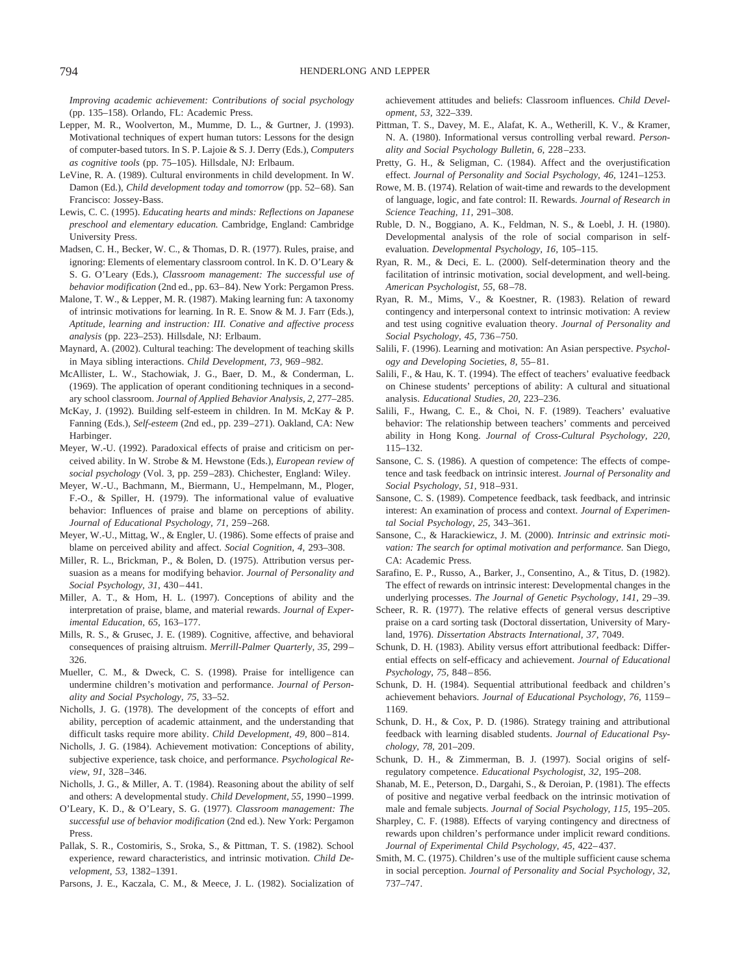*Improving academic achievement: Contributions of social psychology* (pp. 135–158). Orlando, FL: Academic Press.

- Lepper, M. R., Woolverton, M., Mumme, D. L., & Gurtner, J. (1993). Motivational techniques of expert human tutors: Lessons for the design of computer-based tutors. In S. P. Lajoie & S. J. Derry (Eds.), *Computers as cognitive tools* (pp. 75–105). Hillsdale, NJ: Erlbaum.
- LeVine, R. A. (1989). Cultural environments in child development. In W. Damon (Ed.), *Child development today and tomorrow* (pp. 52–68). San Francisco: Jossey-Bass.
- Lewis, C. C. (1995). *Educating hearts and minds: Reflections on Japanese preschool and elementary education.* Cambridge, England: Cambridge University Press.
- Madsen, C. H., Becker, W. C., & Thomas, D. R. (1977). Rules, praise, and ignoring: Elements of elementary classroom control. In K. D. O'Leary & S. G. O'Leary (Eds.), *Classroom management: The successful use of behavior modification* (2nd ed., pp. 63–84). New York: Pergamon Press.
- Malone, T. W., & Lepper, M. R. (1987). Making learning fun: A taxonomy of intrinsic motivations for learning. In R. E. Snow & M. J. Farr (Eds.), *Aptitude, learning and instruction: III. Conative and affective process analysis* (pp. 223–253). Hillsdale, NJ: Erlbaum.
- Maynard, A. (2002). Cultural teaching: The development of teaching skills in Maya sibling interactions. *Child Development, 73,* 969–982.
- McAllister, L. W., Stachowiak, J. G., Baer, D. M., & Conderman, L. (1969). The application of operant conditioning techniques in a secondary school classroom. *Journal of Applied Behavior Analysis, 2,* 277–285.
- McKay, J. (1992). Building self-esteem in children. In M. McKay & P. Fanning (Eds.), *Self-esteem* (2nd ed., pp. 239–271). Oakland, CA: New Harbinger.
- Meyer, W.-U. (1992). Paradoxical effects of praise and criticism on perceived ability. In W. Strobe & M. Hewstone (Eds.), *European review of social psychology* (Vol. 3, pp. 259–283). Chichester, England: Wiley.
- Meyer, W.-U., Bachmann, M., Biermann, U., Hempelmann, M., Ploger, F.-O., & Spiller, H. (1979). The informational value of evaluative behavior: Influences of praise and blame on perceptions of ability. *Journal of Educational Psychology, 71,* 259–268.
- Meyer, W.-U., Mittag, W., & Engler, U. (1986). Some effects of praise and blame on perceived ability and affect. *Social Cognition, 4,* 293–308.
- Miller, R. L., Brickman, P., & Bolen, D. (1975). Attribution versus persuasion as a means for modifying behavior. *Journal of Personality and Social Psychology, 31,* 430–441.
- Miller, A. T., & Hom, H. L. (1997). Conceptions of ability and the interpretation of praise, blame, and material rewards. *Journal of Experimental Education, 65,* 163–177.
- Mills, R. S., & Grusec, J. E. (1989). Cognitive, affective, and behavioral consequences of praising altruism. *Merrill-Palmer Quarterly, 35,* 299– 326.
- Mueller, C. M., & Dweck, C. S. (1998). Praise for intelligence can undermine children's motivation and performance. *Journal of Personality and Social Psychology, 75,* 33–52.
- Nicholls, J. G. (1978). The development of the concepts of effort and ability, perception of academic attainment, and the understanding that difficult tasks require more ability. *Child Development, 49,* 800–814.
- Nicholls, J. G. (1984). Achievement motivation: Conceptions of ability, subjective experience, task choice, and performance. *Psychological Review, 91,* 328–346.
- Nicholls, J. G., & Miller, A. T. (1984). Reasoning about the ability of self and others: A developmental study. *Child Development, 55,* 1990–1999.
- O'Leary, K. D., & O'Leary, S. G. (1977). *Classroom management: The successful use of behavior modification* (2nd ed.). New York: Pergamon Press.
- Pallak, S. R., Costomiris, S., Sroka, S., & Pittman, T. S. (1982). School experience, reward characteristics, and intrinsic motivation. *Child Development, 53,* 1382–1391.
- Parsons, J. E., Kaczala, C. M., & Meece, J. L. (1982). Socialization of

achievement attitudes and beliefs: Classroom influences. *Child Development, 53,* 322–339.

- Pittman, T. S., Davey, M. E., Alafat, K. A., Wetherill, K. V., & Kramer, N. A. (1980). Informational versus controlling verbal reward. *Personality and Social Psychology Bulletin, 6,* 228–233.
- Pretty, G. H., & Seligman, C. (1984). Affect and the overjustification effect. *Journal of Personality and Social Psychology, 46,* 1241–1253.
- Rowe, M. B. (1974). Relation of wait-time and rewards to the development of language, logic, and fate control: II. Rewards. *Journal of Research in Science Teaching, 11,* 291–308.
- Ruble, D. N., Boggiano, A. K., Feldman, N. S., & Loebl, J. H. (1980). Developmental analysis of the role of social comparison in selfevaluation. *Developmental Psychology, 16,* 105–115.
- Ryan, R. M., & Deci, E. L. (2000). Self-determination theory and the facilitation of intrinsic motivation, social development, and well-being. *American Psychologist, 55,* 68–78.
- Ryan, R. M., Mims, V., & Koestner, R. (1983). Relation of reward contingency and interpersonal context to intrinsic motivation: A review and test using cognitive evaluation theory. *Journal of Personality and Social Psychology, 45,* 736–750.
- Salili, F. (1996). Learning and motivation: An Asian perspective. *Psychology and Developing Societies, 8,* 55–81.
- Salili, F., & Hau, K. T. (1994). The effect of teachers' evaluative feedback on Chinese students' perceptions of ability: A cultural and situational analysis. *Educational Studies, 20,* 223–236.
- Salili, F., Hwang, C. E., & Choi, N. F. (1989). Teachers' evaluative behavior: The relationship between teachers' comments and perceived ability in Hong Kong. *Journal of Cross-Cultural Psychology, 220,* 115–132.
- Sansone, C. S. (1986). A question of competence: The effects of competence and task feedback on intrinsic interest. *Journal of Personality and Social Psychology, 51,* 918–931.
- Sansone, C. S. (1989). Competence feedback, task feedback, and intrinsic interest: An examination of process and context. *Journal of Experimental Social Psychology, 25,* 343–361.
- Sansone, C., & Harackiewicz, J. M. (2000). *Intrinsic and extrinsic motivation: The search for optimal motivation and performance.* San Diego, CA: Academic Press.
- Sarafino, E. P., Russo, A., Barker, J., Consentino, A., & Titus, D. (1982). The effect of rewards on intrinsic interest: Developmental changes in the underlying processes. *The Journal of Genetic Psychology, 141,* 29–39.
- Scheer, R. R. (1977). The relative effects of general versus descriptive praise on a card sorting task (Doctoral dissertation, University of Maryland, 1976). *Dissertation Abstracts International, 37,* 7049.
- Schunk, D. H. (1983). Ability versus effort attributional feedback: Differential effects on self-efficacy and achievement. *Journal of Educational Psychology, 75,* 848–856.
- Schunk, D. H. (1984). Sequential attributional feedback and children's achievement behaviors. *Journal of Educational Psychology, 76,* 1159– 1169.
- Schunk, D. H., & Cox, P. D. (1986). Strategy training and attributional feedback with learning disabled students. *Journal of Educational Psychology, 78,* 201–209.
- Schunk, D. H., & Zimmerman, B. J. (1997). Social origins of selfregulatory competence. *Educational Psychologist, 32,* 195–208.
- Shanab, M. E., Peterson, D., Dargahi, S., & Deroian, P. (1981). The effects of positive and negative verbal feedback on the intrinsic motivation of male and female subjects. *Journal of Social Psychology, 115,* 195–205.
- Sharpley, C. F. (1988). Effects of varying contingency and directness of rewards upon children's performance under implicit reward conditions. *Journal of Experimental Child Psychology, 45,* 422–437.
- Smith, M. C. (1975). Children's use of the multiple sufficient cause schema in social perception. *Journal of Personality and Social Psychology, 32,* 737–747.